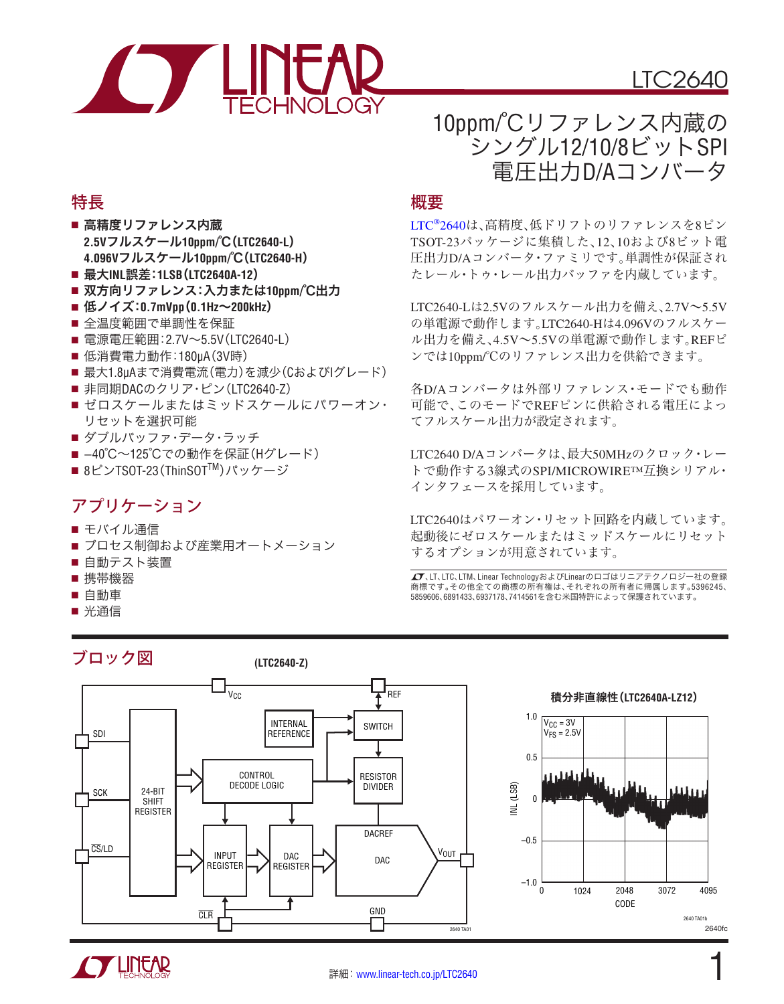

# 10ppm/℃リファレンス内蔵の シングル12/10/8ビットSPI 電圧出力D/Aコンバータ

## 特長

- 高精度リファレンス内蔵 **2.5V**フルスケール**10ppm/**℃(**LTC2640-L**) **4.096V**フルスケール**10ppm/**℃(**LTC2640-H**)
- 最大**INL**誤差:**1LSB**(**LTC2640A-12**)
- 双方向リファレンス:入力または**10ppm/**℃出力
- 低ノイズ:**0.7mVpp**(**0.1Hz**~**200kHz**)
- 全温度範囲で単調性を保証
- 電源電圧範囲: 2.7V~5.5V (LTC2640-L)
- 低消費電力動作:180μA(3V時)
- 最大1.8µAまで消費電流(電力)を減少(CおよびIグレード)
- 非同期DACのクリア・ピン(LTC2640-Z)
- ゼロスケールまたはミッドスケールにパワーオン・ リセットを選択可能
- ダブルバッファ・データ・ラッチ
- -40℃~125℃での動作を保証(Hグレード)
- 8ピンTSOT-23 (ThinSOT™) パッケージ

# アプリケーション

- モバイル通信
- プロセス制御および産業用オートメーション
- 自動テスト装置

ブロック図

- 携帯機器
- 自動車
- 光通信

### **(LTC2640-Z)**

## 概要

LTC[®2640](http://www.linear-tech.co.jp/product/LTC2640)は、高精度、低ドリフトのリファレンスを8ピン TSOT-23パッケージに集積した、12、10および8ビット電 圧出力D/Aコンバータ・ファミリです。単調性が保証され たレール・トゥ・レール出力バッファを内蔵しています。

LTC2640-Lは2.5Vのフルスケール出力を備え、2.7V~5.5V の単電源で動作します。LTC2640-Hは4.096Vのフルスケー ル出力を備え、4.5V~5.5Vの単電源で動作します。REFピ ンでは10ppm/℃のリファレンス出力を供給できます。

各D/Aコンバータは外部リファレンス・モードでも動作 可能で、このモードでREFピンに供給される電圧によっ てフルスケール出力が設定されます。

LTC2640 D/Aコンバータは、最大50MHzのクロック・レー トで動作する3線式のSPI/MICROWIRE™互換シリアル・ インタフェースを採用しています。

LTC2640はパワーオン・リセット回路を内蔵しています。 起動後にゼロスケールまたはミッドスケールにリセット するオプションが用意されています。

、LT、LTC、LTM、Linear TechnologyおよびLinearのロゴはリニアテクノロジー社の登録 商標です。その他全ての商標の所有権は、それぞれの所有者に帰属します。5396245、 5859606、6891433、6937178、7414561を含む米国特許によって保護されています。



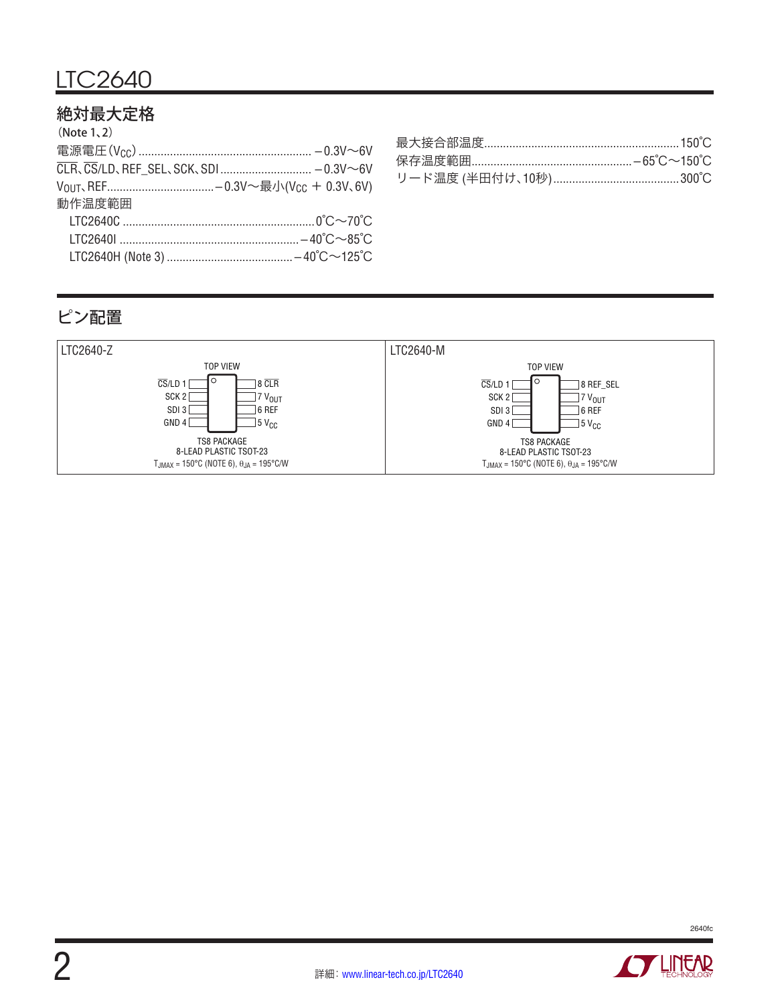# 絶対最大定格

| (Note 1, 2) |  |
|-------------|--|
|             |  |
|             |  |
|             |  |
| 動作温度範囲      |  |
|             |  |
|             |  |
|             |  |
|             |  |

| 保存温度範囲……………………………………………−65°C~150°C |
|------------------------------------|
|                                    |

# ピン配置





![](_page_1_Picture_7.jpeg)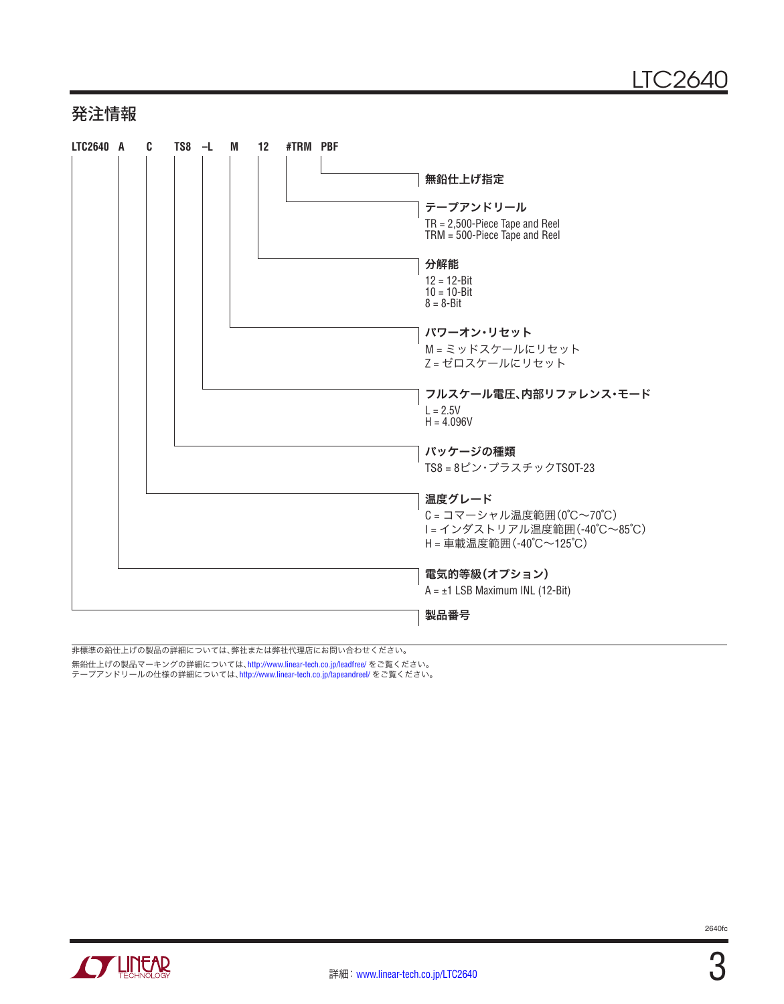## 発注情報

![](_page_2_Figure_2.jpeg)

非標準の鉛仕上げの製品の詳細については、弊社または弊社代理店にお問い合わせください。

無鉛仕上げの製品マーキングの詳細については、<http://www.linear-tech.co.jp/leadfree/> をご覧ください。

テープアンドリールの仕様の詳細については、<http://www.linear-tech.co.jp/tapeandreel/> をご覧ください。

![](_page_2_Picture_6.jpeg)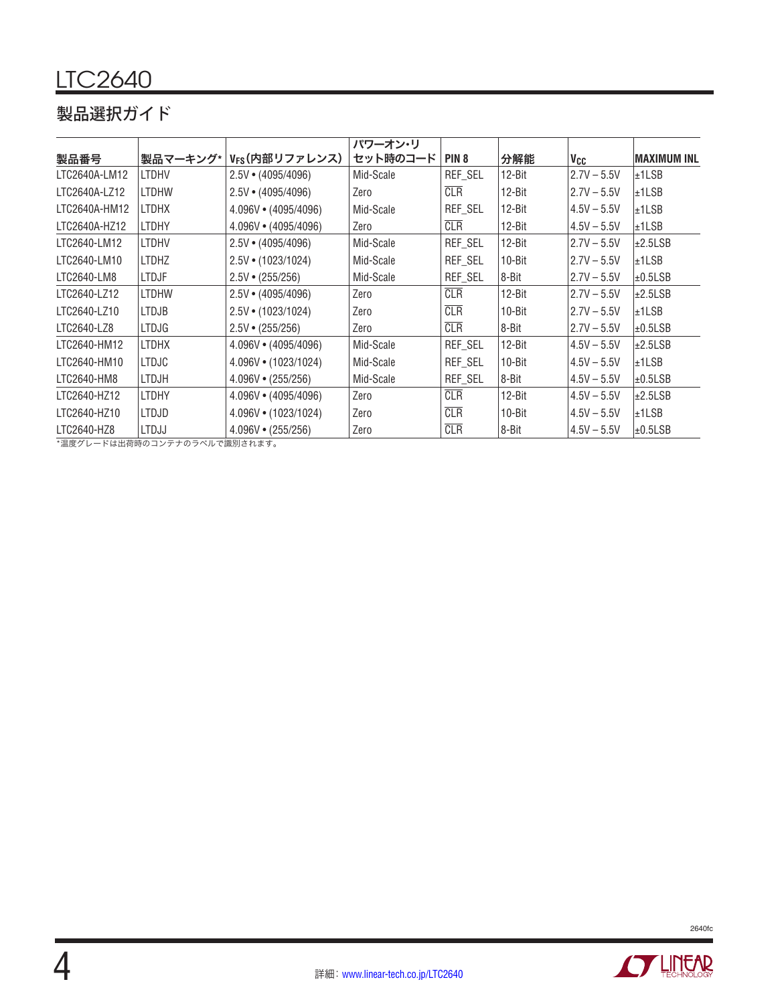# 製品選択ガイド

|               |              |                            | パワーオン・リ   |                  |            |                 |               |
|---------------|--------------|----------------------------|-----------|------------------|------------|-----------------|---------------|
| 製品番号          | 製品マーキング*     | V <sub>FS</sub> (内部リファレンス) | セット時のコード  | PIN <sub>8</sub> | 分解能        | V <sub>CC</sub> | IMAXIMUM INL  |
| LTC2640A-LM12 | <b>LTDHV</b> | $2.5V \cdot (4095/4096)$   | Mid-Scale | REF_SEL          | $12 - Bit$ | $2.7V - 5.5V$   | $\pm$ 1LSB    |
| LTC2640A-LZ12 | <b>LTDHW</b> | $2.5V \cdot (4095/4096)$   | Zero      | <b>CLR</b>       | $12 - Bit$ | $2.7V - 5.5V$   | $\pm$ 1LSB    |
| LTC2640A-HM12 | <b>LTDHX</b> | $4.096V \cdot (4095/4096)$ | Mid-Scale | REF_SEL          | $12 - Bit$ | $4.5V - 5.5V$   | $\pm$ 1LSB    |
| LTC2640A-HZ12 | <b>LTDHY</b> | $4.096V \cdot (4095/4096)$ | Zero      | CLR              | $12 - Bit$ | $4.5V - 5.5V$   | $\pm$ 1LSB    |
| LTC2640-LM12  | <b>LTDHV</b> | $2.5V \cdot (4095/4096)$   | Mid-Scale | REF_SEL          | $12 - Bit$ | $2.7V - 5.5V$   | $\pm 2.5$ LSB |
| LTC2640-LM10  | <b>LTDHZ</b> | $2.5V \cdot (1023/1024)$   | Mid-Scale | REF_SEL          | $10 - Bit$ | $2.7V - 5.5V$   | l±1LSB        |
| LTC2640-LM8   | <b>LTDJF</b> | $2.5V \cdot (255/256)$     | Mid-Scale | REF_SEL          | 8-Bit      | $2.7V - 5.5V$   | $\pm 0.5$ LSB |
| LTC2640-LZ12  | <b>LTDHW</b> | $2.5V \cdot (4095/4096)$   | Zero      | <b>CLR</b>       | $12 - Bit$ | $2.7V - 5.5V$   | $\pm 2.5$ LSB |
| LTC2640-LZ10  | <b>LTDJB</b> | $2.5V \cdot (1023/1024)$   | Zero      | CLR              | $10 - Bit$ | $2.7V - 5.5V$   | l±1LSB        |
| LTC2640-LZ8   | <b>LTDJG</b> | $2.5V \cdot (255/256)$     | Zero      | CLR              | 8-Bit      | $2.7V - 5.5V$   | $\pm 0.5$ LSB |
| LTC2640-HM12  | <b>LTDHX</b> | $4.096V \cdot (4095/4096)$ | Mid-Scale | REF_SEL          | $12 - Bit$ | $4.5V - 5.5V$   | $\pm 2.5$ LSB |
| LTC2640-HM10  | <b>LTDJC</b> | $4.096V \cdot (1023/1024)$ | Mid-Scale | REF_SEL          | 10-Bit     | $4.5V - 5.5V$   | $\pm$ 1LSB    |
| LTC2640-HM8   | <b>LTDJH</b> | $4.096V \cdot (255/256)$   | Mid-Scale | REF_SEL          | 8-Bit      | $4.5V - 5.5V$   | $\pm 0.5$ LSB |
| LTC2640-HZ12  | <b>LTDHY</b> | $4.096V \cdot (4095/4096)$ | Zero      | CLR              | $12 - Bit$ | $4.5V - 5.5V$   | $\pm 2.5$ LSB |
| LTC2640-HZ10  | <b>LTDJD</b> | $4.096V \cdot (1023/1024)$ | Zero      | CLR              | $10 - Bit$ | $4.5V - 5.5V$   | $\pm$ 1LSB    |
| LTC2640-HZ8   | <b>LTDJJ</b> | $4.096V \cdot (255/256)$   | Zero      | <b>CLR</b>       | 8-Bit      | $4.5V - 5.5V$   | $\pm 0.5$ LSB |

\*温度グレードは出荷時のコンテナのラベルで識別されます。

![](_page_3_Picture_4.jpeg)

![](_page_3_Picture_5.jpeg)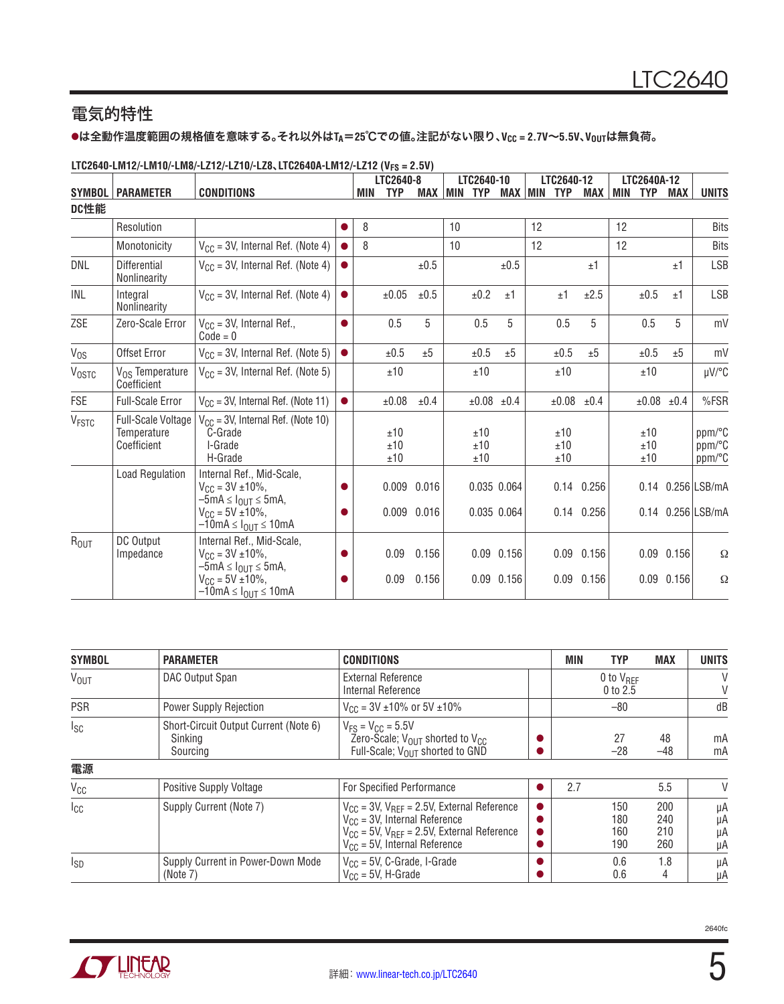# 電気的特性

### lは全動作温度範囲の規格値を意味する。それ以外は**TA**=**25**℃での値。注記がない限り、**VCC = 2.7V**~**5.5V**、**VOUT**は無負荷。

|                   |                                                         |                                                                                                              |           |     | LTC2640-8         | -----       |    | LTC2640-10        |                |                    | LTC2640-12        |                |    | LTC2640A-12       |                |                            |
|-------------------|---------------------------------------------------------|--------------------------------------------------------------------------------------------------------------|-----------|-----|-------------------|-------------|----|-------------------|----------------|--------------------|-------------------|----------------|----|-------------------|----------------|----------------------------|
|                   | <b>SYMBOL   PARAMETER</b>                               | <b>CONDITIONS</b>                                                                                            |           | MIN | <b>TYP</b>        | MAX MIN TYP |    |                   |                | <b>MAX MIN TYP</b> |                   | <b>MAX MIN</b> |    | <b>TYP</b>        | MAX            | <b>UNITS</b>               |
| DC性能              |                                                         |                                                                                                              |           |     |                   |             |    |                   |                |                    |                   |                |    |                   |                |                            |
|                   | Resolution                                              |                                                                                                              |           | 8   |                   |             | 10 |                   |                | 12                 |                   |                | 12 |                   |                | <b>Bits</b>                |
|                   | Monotonicity                                            | $V_{CC}$ = 3V, Internal Ref. (Note 4)                                                                        |           | 8   |                   |             | 10 |                   |                | 12                 |                   |                | 12 |                   |                | <b>Bits</b>                |
| DNL               | Differential<br>Nonlinearity                            | $V_{CC}$ = 3V, Internal Ref. (Note 4)                                                                        | $\bullet$ |     |                   | ±0.5        |    |                   | ±0.5           |                    |                   | ±1             |    |                   | ±1             | <b>LSB</b>                 |
| INL               | Integral<br>Nonlinearity                                | $V_{CC}$ = 3V, Internal Ref. (Note 4)                                                                        | $\bullet$ |     | ±0.05             | $\pm 0.5$   |    | ±0.2              | ±1             |                    | ±1                | ±2.5           |    | ±0.5              | ±1             | <b>LSB</b>                 |
| ZSE               | Zero-Scale Error                                        | $V_{CC}$ = 3V, Internal Ref.,<br>$Code = 0$                                                                  | $\bullet$ |     | 0.5               | 5           |    | 0.5               | 5              |                    | 0.5               | 5              |    | 0.5               | 5              | mV                         |
| $V_{OS}$          | Offset Error                                            | $V_{CC}$ = 3V, Internal Ref. (Note 5)                                                                        | $\bullet$ |     | ±0.5              | ±5          |    | ±0.5              | ±5             |                    | ±0.5              | ±5             |    | ±0.5              | ±5             | mV                         |
| <b>VOSTC</b>      | V <sub>OS</sub> Temperature<br>Coefficient              | $V_{CC}$ = 3V, Internal Ref. (Note 5)                                                                        |           |     | ±10               |             |    | ±10               |                |                    | ±10               |                |    | ±10               |                | µV/°C                      |
| <b>FSE</b>        | <b>Full-Scale Error</b>                                 | $V_{CC}$ = 3V, Internal Ref. (Note 11)                                                                       | $\bullet$ |     | ±0.08             | ±0.4        |    | $\pm 0.08$        | ±0.4           |                    | ±0.08             | ±0.4           |    | $\pm 0.08$        | ±0.4           | %FSR                       |
| V <sub>FSTC</sub> | <b>Full-Scale Voltage</b><br>Temperature<br>Coefficient | $V_{CC}$ = 3V, Internal Ref. (Note 10)<br>C-Grade<br>I-Grade<br>H-Grade                                      |           |     | ±10<br>±10<br>±10 |             |    | ±10<br>±10<br>±10 |                |                    | ±10<br>±10<br>±10 |                |    | ±10<br>±10<br>±10 |                | ppm/°C<br>ppm/°C<br>ppm/°C |
|                   | <b>Load Regulation</b>                                  | Internal Ref., Mid-Scale,<br>$V_{CC} = 3V \pm 10\%$ ,<br>$-5\text{mA} \leq I_{\text{OUT}} \leq 5\text{mA}$ , |           |     | 0.009             | 0.016       |    |                   | 0.035 0.064    |                    |                   | $0.14$ $0.256$ |    |                   |                | 0.14 0.256 LSB/mA          |
|                   |                                                         | $V_{CC} = 5V \pm 10\%$ ,<br>$-10$ mA $\leq$ $I_{\text{OUT}} \leq 10$ mA                                      |           |     |                   | 0.009 0.016 |    |                   | 0.035 0.064    |                    |                   | $0.14$ 0.256   |    |                   |                | 0.14 0.256 LSB/mA          |
| R <sub>OUT</sub>  | DC Output<br>Impedance                                  | Internal Ref., Mid-Scale,<br>$V_{CC} = 3V \pm 10\%$ ,<br>$-5mA \leq I_{OUT} \leq 5mA,$                       |           |     | 0.09              | 0.156       |    |                   | $0.09$ $0.156$ |                    | 0.09              | 0.156          |    |                   | $0.09$ $0.156$ | Ω                          |
|                   |                                                         | $V_{\text{CC}} = 5V \pm 10\%$ ,<br>$-10$ mA $\leq$ $I_{OUT}$ $\leq$ 10mA                                     |           |     | 0.09              | 0.156       |    |                   | $0.09$ $0.156$ |                    | 0.09              | 0.156          |    |                   | $0.09$ $0.156$ | Ω                          |

### **LTC2640-LM12/-LM10/-LM8/-LZ12/-LZ10/-LZ8**、**LTC2640A-LM12/-LZ12 (VFS = 2.5V)**

| <b>SYMBOL</b>          | <b>PARAMETER</b>                                             | <b>CONDITIONS</b>                                                                                                                                                                    | <b>MIN</b> | <b>TYP</b>                        | <b>MAX</b>               | <b>UNITS</b>         |
|------------------------|--------------------------------------------------------------|--------------------------------------------------------------------------------------------------------------------------------------------------------------------------------------|------------|-----------------------------------|--------------------------|----------------------|
| <b>V<sub>OUT</sub></b> | DAC Output Span                                              | <b>External Reference</b><br>Internal Reference                                                                                                                                      |            | 0 to $V_{\text{RFF}}$<br>0 to 2.5 |                          | V<br>V               |
| <b>PSR</b>             | Power Supply Rejection                                       | $V_{CC}$ = 3V ±10% or 5V ±10%                                                                                                                                                        |            | $-80$                             |                          | dB                   |
| Isc                    | Short-Circuit Output Current (Note 6)<br>Sinking<br>Sourcing | $V_{FS} = V_{CC} = 5.5V$<br>Zero-Scale; V <sub>OUT</sub> shorted to V <sub>CC</sub><br>Full-Scale; V <sub>OUT</sub> shorted to GND                                                   |            | 27<br>$-28$                       | 48<br>$-48$              | mA<br>mA             |
| 電源                     |                                                              |                                                                                                                                                                                      |            |                                   |                          |                      |
| V <sub>CC</sub>        | Positive Supply Voltage                                      | For Specified Performance                                                                                                                                                            | 2.7        |                                   | 5.5                      | V                    |
| $_{\rm{lc}}$           | Supply Current (Note 7)                                      | $V_{CC}$ = 3V, $V_{REF}$ = 2.5V, External Reference<br>$V_{CC}$ = 3V, Internal Reference<br>$V_{CC}$ = 5V, $V_{REF}$ = 2.5V, External Reference<br>$V_{CC}$ = 5V, Internal Reference |            | 150<br>180<br>160<br>190          | 200<br>240<br>210<br>260 | μA<br>μA<br>μA<br>μA |
| <sub>sD</sub>          | Supply Current in Power-Down Mode<br>(Note 7)                | $V_{CC}$ = 5V, C-Grade, I-Grade<br>$V_{CC}$ = 5V, H-Grade                                                                                                                            |            | 0.6<br>0.6                        | 1.8<br>4                 | μA<br>μA             |

![](_page_4_Picture_7.jpeg)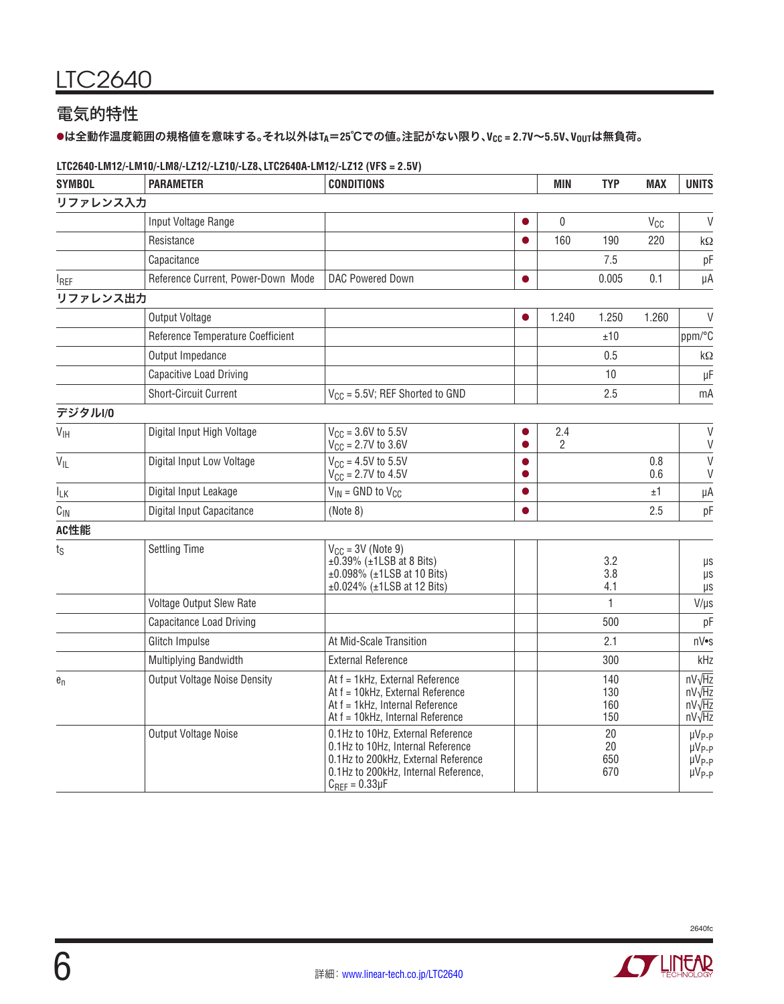# 電気的特性

### lは全動作温度範囲の規格値を意味する。それ以外は**TA**=**25**℃での値。注記がない限り、**VCC = 2.7V**~**5.5V**、**VOUT**は無負荷。

#### **LTC2640-LM12/-LM10/-LM8/-LZ12/-LZ10/-LZ8**、**LTC2640A-LM12/-LZ12 (VFS = 2.5V)**

| <b>SYMBOL</b>   | <b>PARAMETER</b>                    | <b>CONDITIONS</b>                                                                                                                                                               |   |                       |                          |            | <b>UNITS</b>                                                             |
|-----------------|-------------------------------------|---------------------------------------------------------------------------------------------------------------------------------------------------------------------------------|---|-----------------------|--------------------------|------------|--------------------------------------------------------------------------|
| リファレンス入力        |                                     |                                                                                                                                                                                 |   |                       |                          |            |                                                                          |
|                 | Input Voltage Range                 |                                                                                                                                                                                 |   | 0                     |                          | $V_{CC}$   | V                                                                        |
|                 | Resistance                          |                                                                                                                                                                                 |   | 160                   | 190                      | 220        | $\mathsf{k}\Omega$                                                       |
|                 | Capacitance                         |                                                                                                                                                                                 |   |                       | 7.5                      |            | pF                                                                       |
| <b>I</b> REF    | Reference Current, Power-Down Mode  | DAC Powered Down                                                                                                                                                                | ● |                       | 0.005                    | 0.1        | μA                                                                       |
| リファレンス出力        |                                     |                                                                                                                                                                                 |   |                       |                          |            |                                                                          |
|                 | Output Voltage                      |                                                                                                                                                                                 |   | 1.240                 | 1.250                    | 1.260      | $\vee$                                                                   |
|                 | Reference Temperature Coefficient   |                                                                                                                                                                                 |   |                       | ±10                      |            | ppm/°C                                                                   |
|                 | Output Impedance                    |                                                                                                                                                                                 |   |                       | 0.5                      |            | $\mathsf{k}\Omega$                                                       |
|                 | Capacitive Load Driving             |                                                                                                                                                                                 |   |                       | 10                       |            | $\upmu\text{F}$                                                          |
|                 | Short-Circuit Current               | $V_{CC}$ = 5.5V; REF Shorted to GND                                                                                                                                             |   |                       | 2.5                      |            | mA                                                                       |
| デジタルI/0         |                                     |                                                                                                                                                                                 |   |                       |                          |            |                                                                          |
| $V_{\text{IH}}$ | Digital Input High Voltage          | $V_{CC} = 3.6V$ to 5.5V<br>$V_{\rm CC}$ = 2.7V to 3.6V                                                                                                                          |   | 2.4<br>$\overline{2}$ |                          |            | V<br>$\vee$                                                              |
| $V_{IL}$        | Digital Input Low Voltage           | $V_{CC} = 4.5V$ to 5.5V<br>$V_{\text{CC}} = 2.7V$ to 4.5V                                                                                                                       |   |                       |                          | 0.8<br>0.6 | $\vee$<br>V                                                              |
| I <sub>LΚ</sub> | Digital Input Leakage               | $V_{IN}$ = GND to $V_{CG}$                                                                                                                                                      | ● |                       |                          | ±1         | μA                                                                       |
| $C_{\text{IN}}$ | Digital Input Capacitance           | (Note 8)                                                                                                                                                                        | ● |                       |                          | 2.5        | pF                                                                       |
| AC性能            |                                     |                                                                                                                                                                                 |   |                       |                          |            |                                                                          |
| $t_S$           | <b>Settling Time</b>                | $V_{CC} = 3V$ (Note 9)<br>$\pm$ 0.39% ( $\pm$ 1LSB at 8 Bits)<br>$±0.098\%$ ( $±1$ LSB at 10 Bits)<br>±0.024% (±1LSB at 12 Bits)                                                |   |                       | 3.2<br>3.8<br>4.1        |            | μs<br>μs<br>μs                                                           |
|                 | Voltage Output Slew Rate            |                                                                                                                                                                                 |   |                       | $\mathbf{1}$             |            | $V/\mu s$                                                                |
|                 | <b>Capacitance Load Driving</b>     |                                                                                                                                                                                 |   |                       | 500                      |            | рF                                                                       |
|                 | Glitch Impulse                      | At Mid-Scale Transition                                                                                                                                                         |   |                       | 2.1                      |            | n∨•s                                                                     |
|                 | Multiplying Bandwidth               | <b>External Reference</b>                                                                                                                                                       |   |                       | 300                      |            | kHz                                                                      |
| $e_n$           | <b>Output Voltage Noise Density</b> | At f = 1kHz, External Reference<br>At f = 10kHz, External Reference<br>At f = 1kHz, Internal Reference<br>At f = 10kHz, Internal Reference                                      |   |                       | 140<br>130<br>160<br>150 |            | $nV\sqrt{Hz}$<br>$nV\sqrt{Hz}$<br>$nV\sqrt{Hz}$<br>$nV\sqrt{Hz}$         |
|                 | Output Voltage Noise                | 0.1Hz to 10Hz, External Reference<br>0.1Hz to 10Hz, Internal Reference<br>0.1Hz to 200kHz, External Reference<br>0.1Hz to 200kHz, Internal Reference,<br>$C_{REF} = 0.33 \mu F$ |   |                       | 20<br>20<br>650<br>670   |            | $\mu V_{P-P}$<br>µV <sub>P-P</sub><br>µV <sub>P-P</sub><br>$\mu V_{P-P}$ |

![](_page_5_Picture_6.jpeg)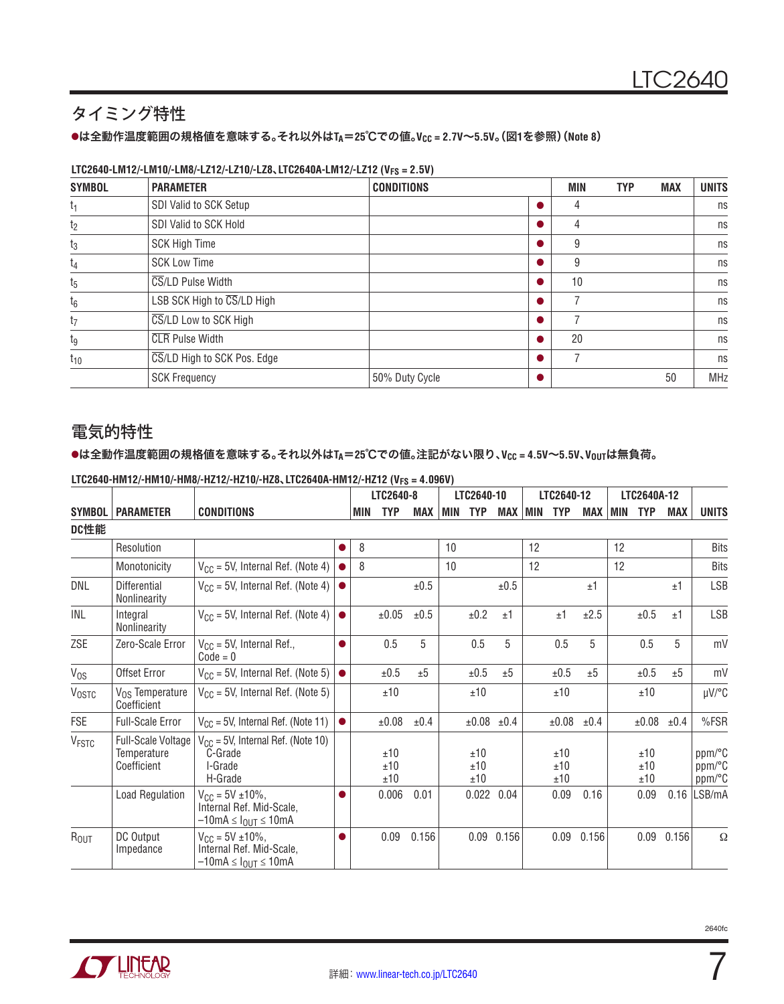# タイミング特性

### lは全動作温度範囲の規格値を意味する。それ以外は**TA**=**25**℃での値。**VCC = 2.7V**~**5.5V**。(図**1**を参照)(**Note 8**)

#### **LTC2640-LM12/-LM10/-LM8/-LZ12/-LZ10/-LZ8**、**LTC2640A-LM12/-LZ12 (VFS = 2.5V)**

| <b>SYMBOL</b>  | <b>PARAMETER</b>                                | <b>CONDITIONS</b> | MIN | <b>TYP</b> | <b>MAX</b> | <b>UNITS</b> |
|----------------|-------------------------------------------------|-------------------|-----|------------|------------|--------------|
| t <sub>1</sub> | SDI Valid to SCK Setup                          |                   | 4   |            |            | ns           |
| t <sub>2</sub> | SDI Valid to SCK Hold                           |                   | 4   |            |            | ns           |
| $t_3$          | <b>SCK High Time</b>                            |                   | 9   |            |            | ns           |
| t <sub>4</sub> | <b>SCK Low Time</b>                             |                   | 9   |            |            | ns           |
| $t_{5}$        | CS/LD Pulse Width                               |                   | 10  |            |            | ns           |
| $t_6$          | LSB SCK High to $\overline{\text{CS}}$ /LD High |                   |     |            |            | ns           |
| t <sub>7</sub> | CS/LD Low to SCK High                           |                   |     |            |            | ns           |
| tg             | <b>CLR</b> Pulse Width                          |                   | 20  |            |            | ns           |
| $t_{10}$       | CS/LD High to SCK Pos. Edge                     |                   |     |            |            | ns           |
|                | <b>SCK Frequency</b>                            | 50% Duty Cycle    |     |            | 50         | <b>MHz</b>   |

# 電気的特性

#### lは全動作温度範囲の規格値を意味する。それ以外は**TA**=**25**℃での値。注記がない限り、**VCC = 4.5V**~**5.5V**、**VOUT**は無負荷。

|                         |                                                         |                                                                                                              |           |     | LTC2640-8         |           |             | LTC2640-10        |                |    | LTC2640-12        |       |     | LTC2640A-12       |       |                            |
|-------------------------|---------------------------------------------------------|--------------------------------------------------------------------------------------------------------------|-----------|-----|-------------------|-----------|-------------|-------------------|----------------|----|-------------------|-------|-----|-------------------|-------|----------------------------|
| <b>SYMBOL</b>           | <b>PARAMETER</b>                                        | <b>CONDITIONS</b>                                                                                            |           | MIN | <b>TYP</b>        | MAX       | <b>IMIN</b> | <b>TYP</b>        | <b>MAX MIN</b> |    | <b>TYP</b>        | MAX   | MIN | <b>TYP</b>        | MAX   | <b>UNITS</b>               |
| DC性能                    |                                                         |                                                                                                              |           |     |                   |           |             |                   |                |    |                   |       |     |                   |       |                            |
|                         | Resolution                                              |                                                                                                              |           | 8   |                   |           | 10          |                   |                | 12 |                   |       | 12  |                   |       | <b>Bits</b>                |
|                         | Monotonicity                                            | $V_{CC}$ = 5V, Internal Ref. (Note 4)                                                                        |           | 8   |                   |           | 10          |                   |                | 12 |                   |       | 12  |                   |       | <b>Bits</b>                |
| DNL                     | <b>Differential</b><br>Nonlinearity                     | $V_{CC}$ = 5V, Internal Ref. (Note 4)                                                                        | $\bullet$ |     |                   | ±0.5      |             |                   | ±0.5           |    |                   | ±1    |     |                   | ±1    | <b>LSB</b>                 |
| INL                     | Integral<br>Nonlinearity                                | $V_{CC}$ = 5V, Internal Ref. (Note 4)                                                                        | $\bullet$ |     | ±0.05             | $\pm 0.5$ |             | ±0.2              | ±1             |    | ±1                | ±2.5  |     | $\pm 0.5$         | ±1    | <b>LSB</b>                 |
| ZSE                     | Zero-Scale Error                                        | $V_{CC}$ = 5V, Internal Ref.,<br>$Code = 0$                                                                  | $\bullet$ |     | 0.5               | 5         |             | 0.5               | 5              |    | 0.5               | 5     |     | 0.5               | 5     | mV                         |
| $V_{OS}$                | Offset Error                                            | $V_{CC}$ = 5V, Internal Ref. (Note 5)                                                                        | $\bullet$ |     | ±0.5              | ±5        |             | ±0.5              | ±5             |    | ±0.5              | ±5    |     | ±0.5              | ±5    | mV                         |
| <b>VOSTC</b>            | V <sub>OS</sub> Temperature<br>Coefficient              | $V_{CC}$ = 5V, Internal Ref. (Note 5)                                                                        |           |     | ±10               |           |             | ±10               |                |    | ±10               |       |     | ±10               |       | µV/°C                      |
| FSE                     | <b>Full-Scale Error</b>                                 | $V_{CC}$ = 5V, Internal Ref. (Note 11)                                                                       | $\bullet$ |     | ±0.08             | ±0.4      |             | ±0.08 ±0.4        |                |    | ±0.08             | ±0.4  |     | ±0.08             | ±0.4  | %FSR                       |
| <b>V<sub>FSTC</sub></b> | <b>Full-Scale Voltage</b><br>Temperature<br>Coefficient | $V_{CC}$ = 5V, Internal Ref. (Note 10)<br>C-Grade<br>I-Grade<br>H-Grade                                      |           |     | ±10<br>±10<br>±10 |           |             | ±10<br>±10<br>±10 |                |    | ±10<br>±10<br>±10 |       |     | ±10<br>±10<br>±10 |       | ppm/°C<br>ppm/°C<br>ppm/°C |
|                         | Load Regulation                                         | $V_{\text{CC}} = 5V \pm 10\%$ ,<br>Internal Ref. Mid-Scale,<br>$-10$ mA $\leq$ $I_{\text{OUT}} \leq 10$ mA   | ●         |     | 0.006             | 0.01      |             | 0.022             | 0.04           |    | 0.09              | 0.16  |     | 0.09              | 0.16  | LSB/mA                     |
| $R_{OUT}$               | DC Output<br>Impedance                                  | $V_{\text{CC}} = 5V \pm 10\%$ ,<br>Internal Ref. Mid-Scale,<br>$-10$ m $A \leq I_{\text{OUT}} \leq 10$ m $A$ | ●         |     | 0.09              | 0.156     |             | 0.09              | 0.156          |    | 0.09              | 0.156 |     | 0.09              | 0.156 | $\Omega$                   |

#### **LTC2640-HM12/-HM10/-HM8/-HZ12/-HZ10/-HZ8**、**LTC2640A-HM12/-HZ12 (VFS = 4.096V)**

![](_page_6_Picture_9.jpeg)

7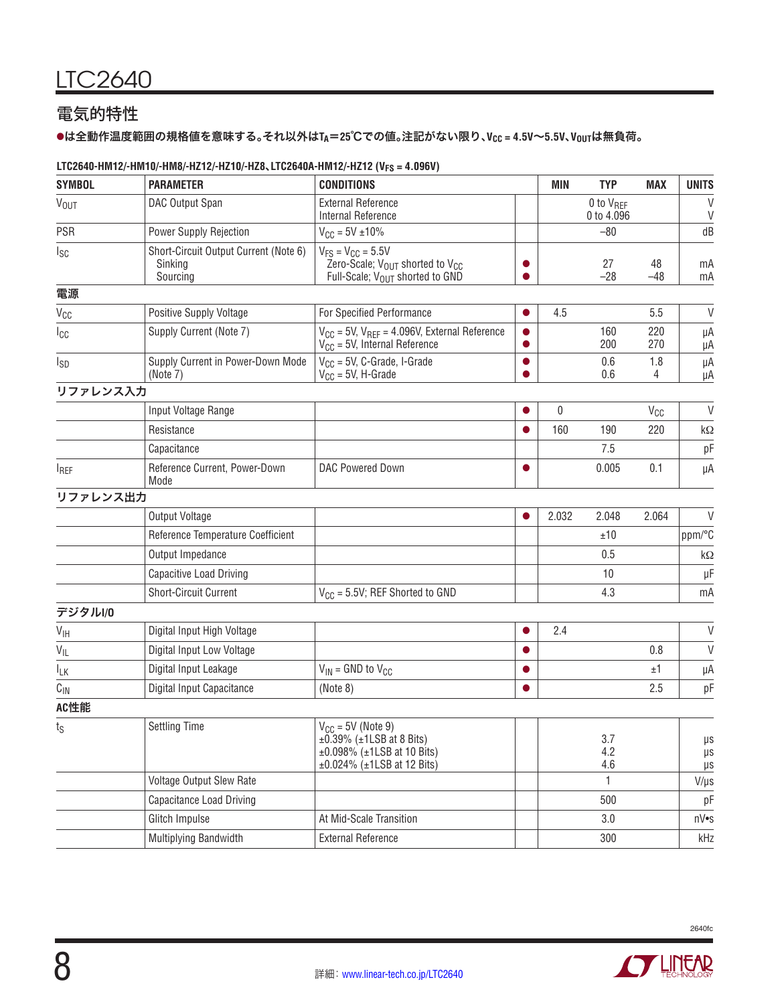# 電気的特性

### lは全動作温度範囲の規格値を意味する。それ以外は**TA**=**25**℃での値。注記がない限り、**VCC = 4.5V**~**5.5V**、**VOUT**は無負荷。

### **LTC2640-HM12/-HM10/-HM8/-HZ12/-HZ10/-HZ8**、**LTC2640A-HM12/-HZ12 (VFS = 4.096V)**

| <b>SYMBOL</b>          | <b>PARAMETER</b>                                             | <b>CONDITIONS</b>                                                                                                                  |           | <b>MIN</b> | <b>TYP</b>                          | <b>MAX</b>  | <b>UNITS</b>                   |
|------------------------|--------------------------------------------------------------|------------------------------------------------------------------------------------------------------------------------------------|-----------|------------|-------------------------------------|-------------|--------------------------------|
| <b>V<sub>OUT</sub></b> | DAC Output Span                                              | <b>External Reference</b><br><b>Internal Reference</b>                                                                             |           |            | 0 to V <sub>REF</sub><br>0 to 4.096 |             | V<br>V                         |
| PSR                    | Power Supply Rejection                                       | $V_{CC} = 5V \pm 10\%$                                                                                                             |           |            | $-80$                               |             | dB                             |
| lsc                    | Short-Circuit Output Current (Note 6)<br>Sinking<br>Sourcing | $V_{FS} = V_{CC} = 5.5V$<br>Zero-Scale; $V_{\text{OUT}}$ shorted to $V_{\text{GC}}$<br>Full-Scale; V <sub>OUT</sub> shorted to GND |           |            | 27<br>$-28$                         | 48<br>$-48$ | mA<br>mA                       |
| 電源                     |                                                              |                                                                                                                                    |           |            |                                     |             |                                |
| V <sub>CC</sub>        | Positive Supply Voltage                                      | For Specified Performance                                                                                                          |           | 4.5        |                                     | 5.5         | V                              |
| Icc                    | Supply Current (Note 7)                                      | $V_{CC}$ = 5V, $V_{REF}$ = 4.096V, External Reference<br>$V_{CC}$ = 5V, Internal Reference                                         |           |            | 160<br>200                          | 220<br>270  | μA<br>μA                       |
| I <sub>SD</sub>        | Supply Current in Power-Down Mode<br>(Note 7)                | $V_{CC}$ = 5V, C-Grade, I-Grade<br>$V_{CC}$ = 5V, H-Grade                                                                          | $\bullet$ |            | 0.6<br>0.6                          | 1.8<br>4    | μA<br>μA                       |
| リファレンス入力               |                                                              |                                                                                                                                    |           |            |                                     |             |                                |
|                        | Input Voltage Range                                          |                                                                                                                                    |           | 0          |                                     | $V_{CC}$    | $\vee$                         |
|                        | Resistance                                                   |                                                                                                                                    |           | 160        | 190                                 | 220         | $k\Omega$                      |
|                        | Capacitance                                                  |                                                                                                                                    |           |            | 7.5                                 |             | pF                             |
| <b>IREF</b>            | Reference Current, Power-Down<br>Mode                        | <b>DAC Powered Down</b>                                                                                                            |           |            | 0.005                               | 0.1         | μA                             |
| リファレンス出力               |                                                              |                                                                                                                                    |           |            |                                     |             |                                |
|                        | Output Voltage                                               |                                                                                                                                    |           | 2.032      | 2.048                               | 2.064       | $\vee$                         |
|                        | Reference Temperature Coefficient                            |                                                                                                                                    |           |            | ±10                                 |             | ppm/°C                         |
|                        | Output Impedance                                             |                                                                                                                                    |           |            | 0.5                                 |             | kΩ                             |
|                        | Capacitive Load Driving                                      |                                                                                                                                    |           |            | 10                                  |             | μF                             |
|                        | <b>Short-Circuit Current</b>                                 | $V_{CC}$ = 5.5V; REF Shorted to GND                                                                                                |           |            | 4.3                                 |             | mA                             |
| デジタルI/0                |                                                              |                                                                                                                                    |           |            |                                     |             |                                |
| $V_{\text{IH}}$        | Digital Input High Voltage                                   |                                                                                                                                    | 0         | 2.4        |                                     |             | $\vee$                         |
| $V_{IL}$               | Digital Input Low Voltage                                    |                                                                                                                                    |           |            |                                     | 0.8         | $\vee$                         |
| IΓK                    | Digital Input Leakage                                        | $V_{IN}$ = GND to $V_{CC}$                                                                                                         | $\bullet$ |            |                                     | ±1          | μA                             |
| $C_{IN}$               | Digital Input Capacitance                                    | (Note 8)                                                                                                                           |           |            |                                     | 2.5         | pF                             |
| AC性能                   |                                                              |                                                                                                                                    |           |            |                                     |             |                                |
| ts                     | <b>Settling Time</b>                                         | $V_{CC}$ = 5V (Note 9)<br>$\pm$ 0.39% ( $\pm$ 1LSB at 8 Bits)<br>$±0.098\%$ ( $±1$ LSB at 10 Bits)<br>±0.024% (±1LSB at 12 Bits)   |           |            | 3.7<br>4.2<br>4.6                   |             | $\mu\text{s}$<br>$\mu s$<br>μs |
|                        | <b>Voltage Output Slew Rate</b>                              |                                                                                                                                    |           |            | $\mathbf{1}$                        |             | $V/\mu s$                      |
|                        | <b>Capacitance Load Driving</b>                              |                                                                                                                                    |           |            | 500                                 |             | pF                             |
|                        | Glitch Impulse                                               | At Mid-Scale Transition                                                                                                            |           |            | 3.0                                 |             | nV•s                           |
|                        | Multiplying Bandwidth                                        | <b>External Reference</b>                                                                                                          |           |            | 300                                 |             | kHz                            |

**ANTILITEAR** 

![](_page_7_Picture_6.jpeg)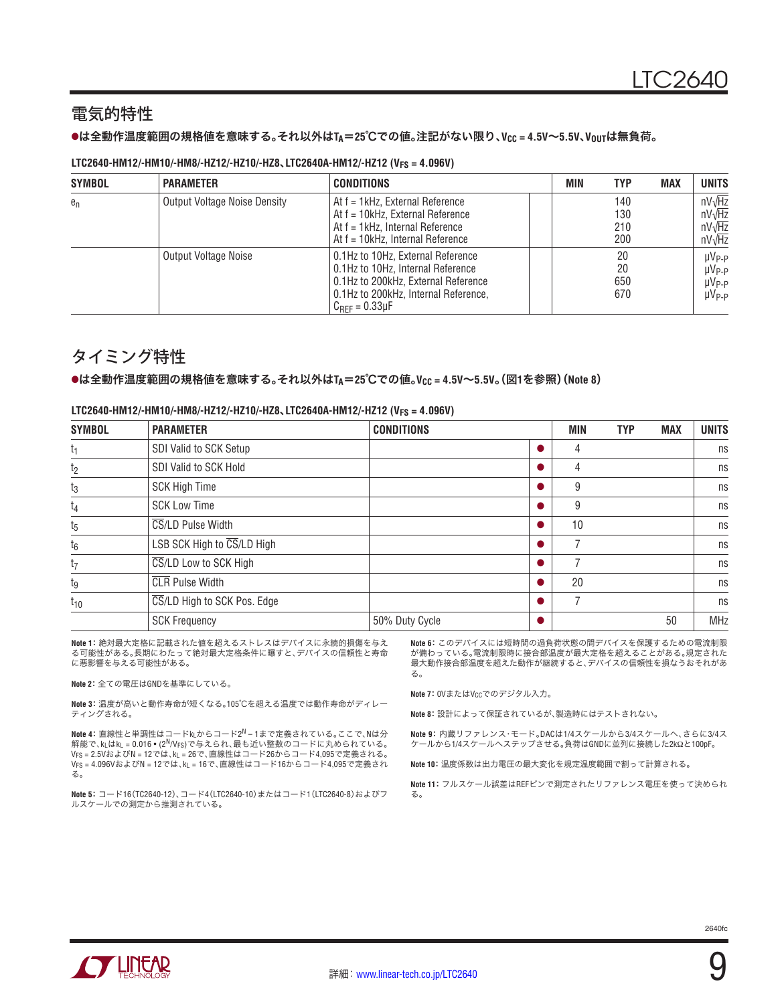### 電気的特性

#### lは全動作温度範囲の規格値を意味する。それ以外は**TA**=**25**℃での値。注記がない限り、**VCC = 4.5V**~**5.5V**、**VOUT**は無負荷。

#### **LTC2640-HM12/-HM10/-HM8/-HZ12/-HZ10/-HZ8**、**LTC2640A-HM12/-HZ12 (VFS = 4.096V)**

| <b>SYMBOL</b> | <b>PARAMETER</b>                    | <b>CONDITIONS</b>                                                                                                                                                               | <b>MIN</b> | <b>TYP</b>               | <b>MAX</b> | <b>UNITS</b>                                                     |
|---------------|-------------------------------------|---------------------------------------------------------------------------------------------------------------------------------------------------------------------------------|------------|--------------------------|------------|------------------------------------------------------------------|
| $e_n$         | <b>Output Voltage Noise Density</b> | At f = 1kHz, External Reference<br>At f = 10kHz, External Reference<br>At f = 1kHz, Internal Reference<br>At f = 10kHz, Internal Reference                                      |            | 140<br>130<br>210<br>200 |            | $nV\sqrt{Hz}$<br>$nV\sqrt{Hz}$<br>$nV\sqrt{Hz}$<br>$nV\sqrt{Hz}$ |
|               | <b>Output Voltage Noise</b>         | 0.1Hz to 10Hz. External Reference<br>0.1Hz to 10Hz, Internal Reference<br>0.1Hz to 200kHz, External Reference<br>0.1Hz to 200kHz, Internal Reference,<br>$C_{BFF} = 0.33 \mu F$ |            | 20<br>20<br>650<br>670   |            | $\mu V_{P-P}$<br>$\mu V_{P-P}$<br>$\mu V_{P-P}$<br>$\mu V_{P-P}$ |

### タイミング特性

#### lは全動作温度範囲の規格値を意味する。それ以外は**TA**=**25**℃での値。**VCC = 4.5V**~**5.5V**。(図**1**を参照)(**Note 8**)

| <b>SYMBOL</b>  | <b>PARAMETER</b>            | <b>CONDITIONS</b> | MIN | <b>TYP</b> | <b>MAX</b> | <b>UNITS</b> |
|----------------|-----------------------------|-------------------|-----|------------|------------|--------------|
| t <sub>1</sub> | SDI Valid to SCK Setup      |                   | 4   |            |            | ns           |
| t <sub>2</sub> | SDI Valid to SCK Hold       |                   | 4   |            |            | ns           |
| $t_3$          | <b>SCK High Time</b>        |                   | 9   |            |            | ns           |
| $t_4$          | <b>SCK Low Time</b>         |                   | 9   |            |            | ns           |
| $t_5$          | CS/LD Pulse Width           |                   | 10  |            |            | ns           |
| $t_6$          | LSB SCK High to CS/LD High  |                   |     |            |            | ns           |
| $t_7$          | CS/LD Low to SCK High       |                   |     |            |            | ns           |
| tg             | <b>CLR</b> Pulse Width      |                   | 20  |            |            | ns           |
| $t_{10}$       | CS/LD High to SCK Pos. Edge |                   |     |            |            | ns           |
|                | <b>SCK Frequency</b>        | 50% Duty Cycle    |     |            | 50         | <b>MHz</b>   |

#### **LTC2640-HM12/-HM10/-HM8/-HZ12/-HZ10/-HZ8**、**LTC2640A-HM12/-HZ12 (VFS = 4.096V)**

**Note 1**:絶対最大定格に記載された値を超えるストレスはデバイスに永続的損傷を与え る可能性がある。長期にわたって絶対最大定格条件に曝すと、デバイスの信頼性と寿命 に悪影響を与える可能性がある。

**Note 2**:全ての電圧はGNDを基準にしている。

**Note 3**:温度が高いと動作寿命が短くなる。105℃を超える温度では動作寿命がディレー ティングされる。

**Note 4**:直線性と単調性はコードkLからコード2N – 1まで定義されている。ここで、Nは分 解能で、k\_はk\_ = 0.016 • (2 $^{\mathsf{N}}$ /V<sub>FS</sub>)で与えられ、最も近い整数のコードに丸められている。 VFS = 2.5VおよびN = 12では、kL = 26で、直線性はコード26からコード4,095で定義される。 VFS = 4.096VおよびN = 12では、kL = 16で、直線性はコード16からコード4,095で定義され る。

**Note 5**:コード16(TC2640-12)、コード4(LTC2640-10)またはコード1(LTC2640-8)およびフ ルスケールでの測定から推測されている。

**Note 6**:このデバイスには短時間の過負荷状態の間デバイスを保護するための電流制限 が備わっている。電流制限時に接合部温度が最大定格を超えることがある。規定された 最大動作接合部温度を超えた動作が継続すると、デバイスの信頼性を損なうおそれがあ る。

**Note 7: 0VまたはVccでのデジタル入力。** 

**Note 8**:設計によって保証されているが、製造時にはテストされない。

**Note 9**:内蔵リファレンス・モード。DACは1/4スケールから3/4スケールへ、さらに3/4ス ケールから1/4スケールへステップさせる。負荷はGNDに並列に接続した2kΩと100pF。

**Note 10**:温度係数は出力電圧の最大変化を規定温度範囲で割って計算される。

**Note 11**:フルスケール誤差はREFピンで測定されたリファレンス電圧を使って決められ る。

![](_page_8_Picture_20.jpeg)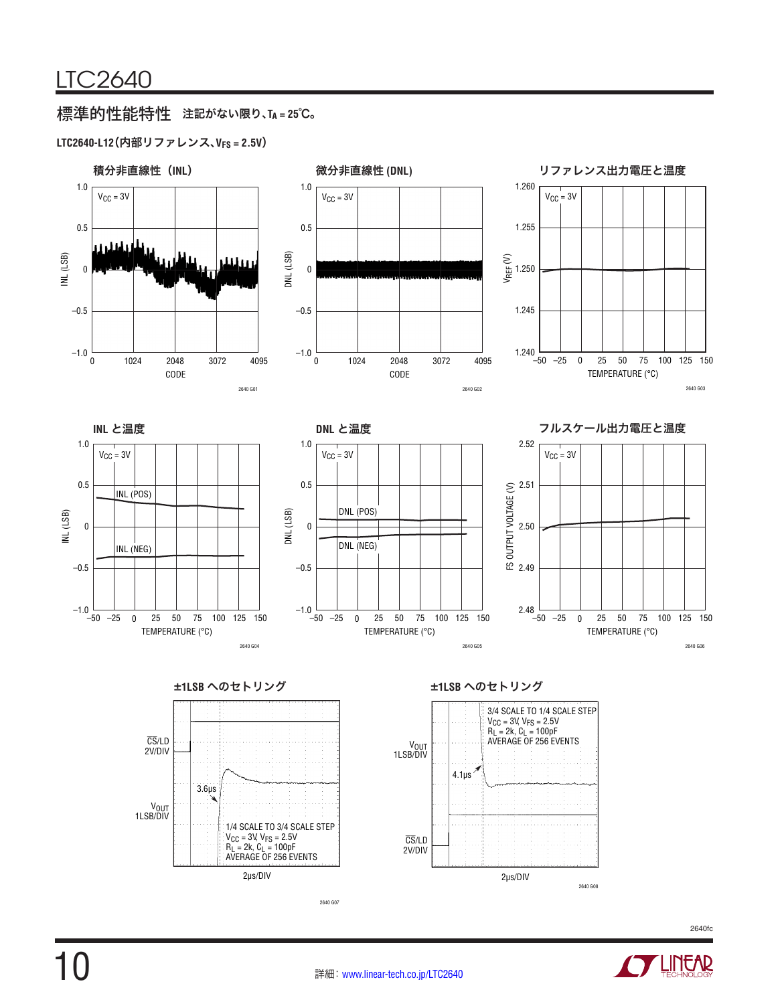# 標準的性能特性 注記がない限り、**TA = 25**℃。

### **LTC2640-L12**(内部リファレンス、**VFS = 2.5V**)

![](_page_9_Figure_3.jpeg)

**LINEAR** 

![](_page_9_Picture_5.jpeg)

CS/LD 2V/DIV

2µs/DIV

2640 G08

2640 G07

2µs/DIV

 $V_{\text{CC}}$  = 3V,  $V_{\text{FS}}$  = 2.5V R<sub>L</sub> = 2k, C<sub>L</sub> = 100pF AVERAGE OF 256 EVENTS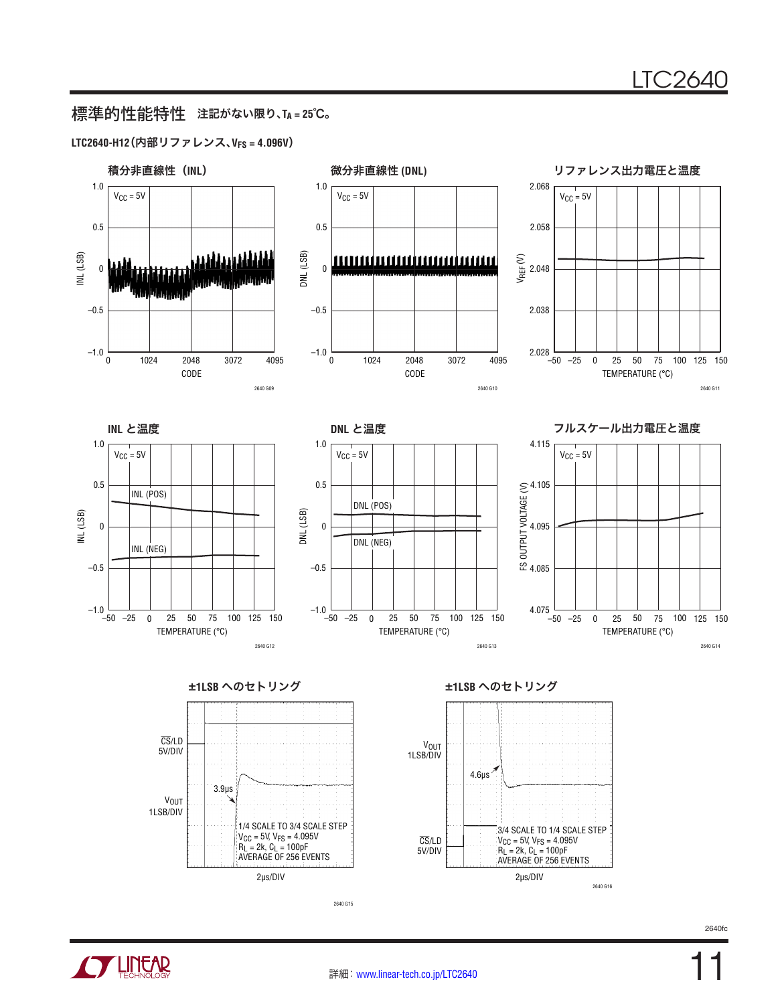## 標準的性能特性 注記がない限り、**TA = 25**℃。

#### **LTC2640-H12**(内部リファレンス、**VFS = 4.096V**)

![](_page_10_Figure_3.jpeg)

![](_page_10_Figure_5.jpeg)

2640 G15

![](_page_10_Figure_8.jpeg)

![](_page_10_Picture_10.jpeg)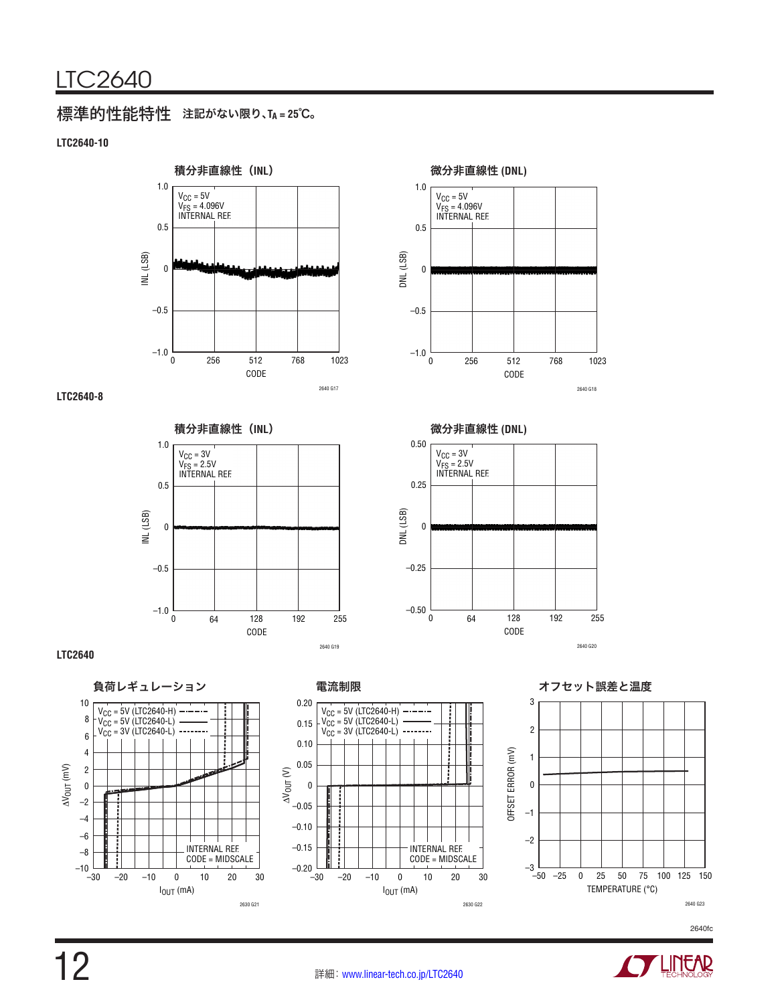## 標準的性能特性 注記がない限り、**TA = 25**℃。

#### **LTC2640-10**

![](_page_11_Figure_3.jpeg)

#### **LTC2640-8**

![](_page_11_Figure_5.jpeg)

CODE 0 DNL (LSB) 0 0.5 1023 2640 G18 –0.5 –1.0 256 512 768 1.0  $V_{\rm CC}$  = 5V VFS = 4.096V INTERNAL REF.

![](_page_11_Figure_7.jpeg)

#### **LTC2640**

![](_page_11_Figure_9.jpeg)

![](_page_11_Figure_10.jpeg)

![](_page_11_Figure_11.jpeg)

![](_page_11_Figure_12.jpeg)

![](_page_11_Figure_13.jpeg)

![](_page_11_Picture_17.jpeg)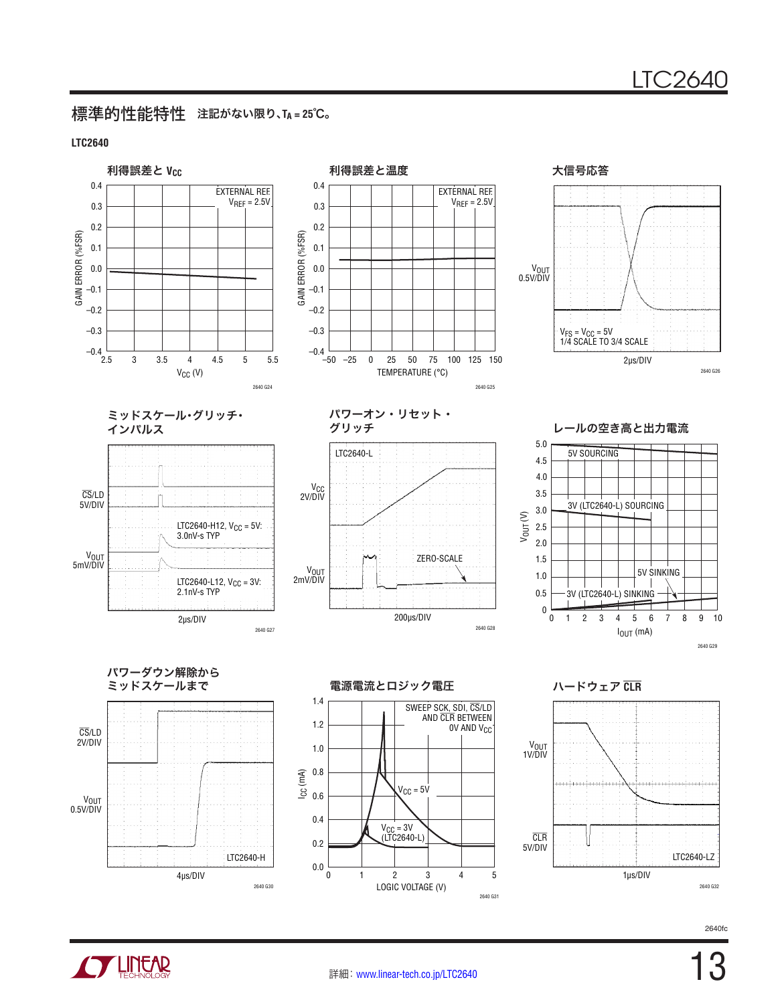### 標準的性能特性 注記がない限り、**TA = 25**℃。

#### **LTC2640**

![](_page_12_Figure_3.jpeg)

![](_page_12_Picture_5.jpeg)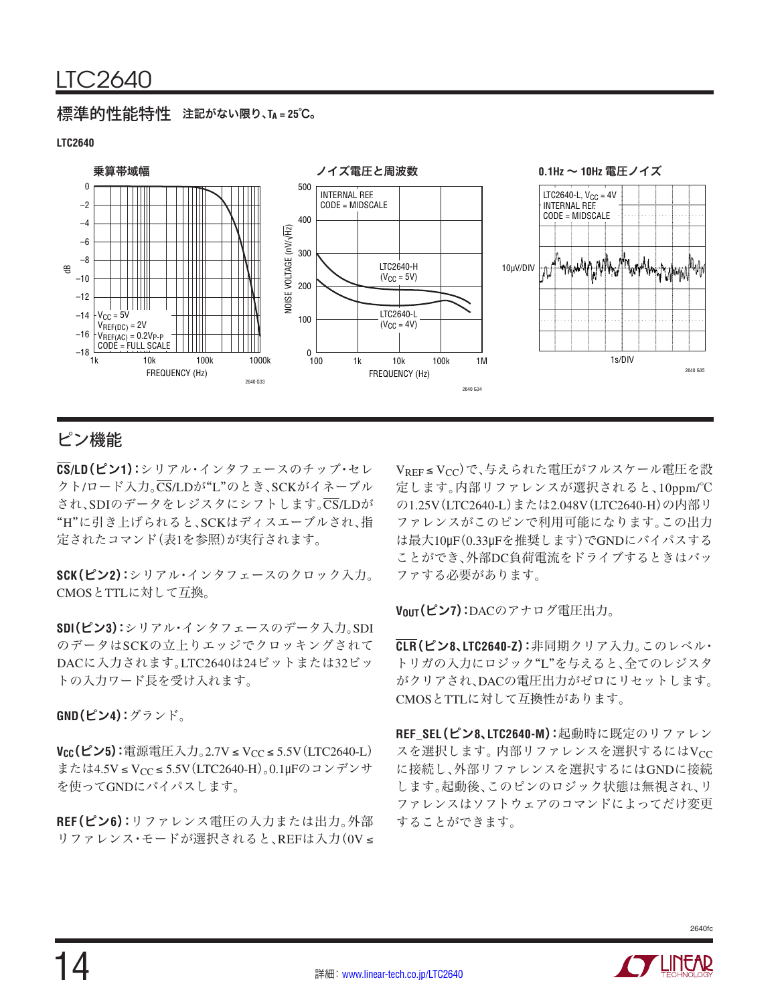### 標準的性能特性 注記がない限り、**TA = 25**℃。

### **LTC2640**

![](_page_13_Figure_3.jpeg)

# ピン機能

**CS/LD**(ピン**1**):シリアル・インタフェースのチップ・セレ クト/ロード入力。CS/LDが"L"のとき、SCKがイネーブル され、SDIのデータをレジスタにシフトします。CS/LDが "H"に引き上げられると、SCKはディスエーブルされ、指 定されたコマンド(表1を参照)が実行されます。

**SCK**(ピン**2**):シリアル・インタフェースのクロック入力。 CMOSとTTLに対して互換。

**SDI**(ピン**3**):シリアル・インタフェースのデータ入力。SDI のデータはSCKの立上りエッジでクロッキングされて DACに入力されます。LTC2640は24ビットまたは32ビッ トの入力ワード長を受け入れます。

**GND**(ピン**4**):グランド。

**V<sub>CC</sub>(ピン5):**電源電圧入力。2.7V≤V<sub>CC</sub>≤5.5V(LTC2640-L) または4.5V ≤ VCC ≤ 5.5V(LTC2640-H)。0.1μFのコンデンサ を使ってGNDにバイパスします。

**REF**(ピン**6**):リファレンス電圧の入力または出力。外部 リファレンス・モードが選択されると、REFは入力(0V ≤ VREF≤VCC)で、与えられた電圧がフルスケール電圧を設 定します。内部リファレンスが選択されると、10ppm/℃ の1.25V(LTC2640-L)または2.048V(LTC2640-H)の内部リ ファレンスがこのピンで利用可能になります。この出力 は最大10μF(0.33μFを推奨します)でGNDにバイパスする ことができ、外部DC負荷電流をドライブするときはバッ ファする必要があります。

**VOUT**(ピン**7**):DACのアナログ電圧出力。

**CLR**(ピン**8**、**LTC2640-Z**):非同期クリア入力。このレベル・ トリガの入力にロジック"L"を与えると、全てのレジスタ がクリアされ、DACの電圧出力がゼロにリセットします。 CMOSとTTLに対して互換性があります。

**REF\_SEL**(ピン**8**、**LTC2640-M**):起動時に既定のリファレン スを選択します。内部リファレンスを選択するにはVcc に接続し、外部リファレンスを選択するにはGNDに接続 します。起動後、このピンのロジック状態は無視され、リ ファレンスはソフトウェアのコマンドによってだけ変更 することができます。

![](_page_13_Picture_15.jpeg)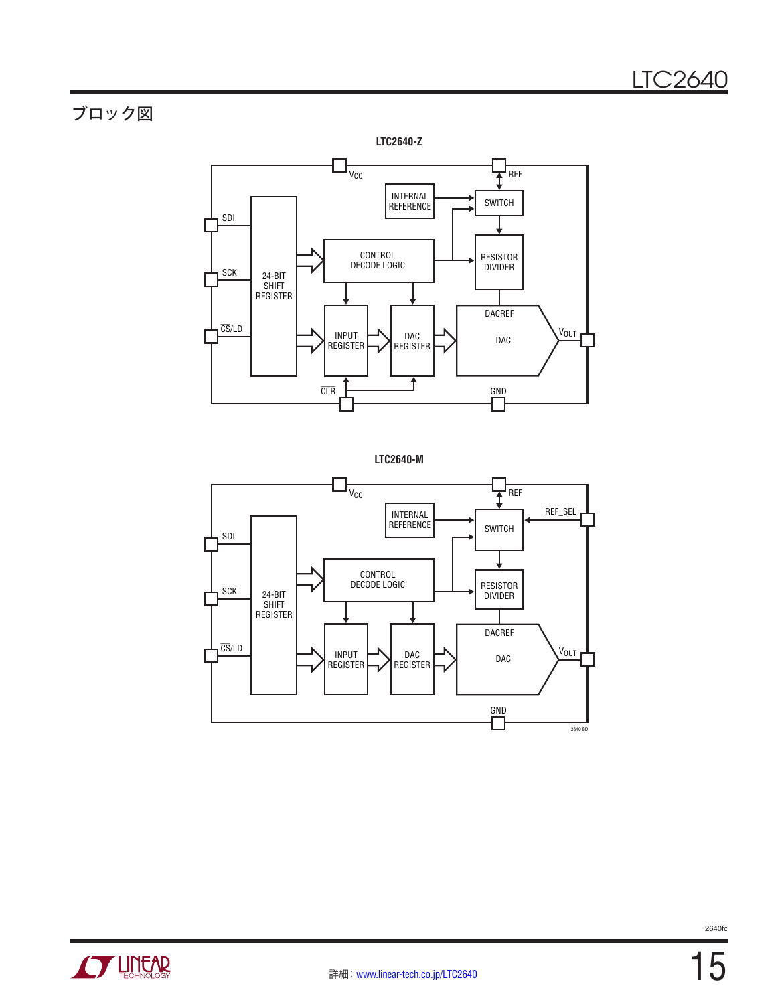# ブロック図

![](_page_14_Figure_2.jpeg)

![](_page_14_Figure_3.jpeg)

![](_page_14_Figure_4.jpeg)

![](_page_14_Picture_6.jpeg)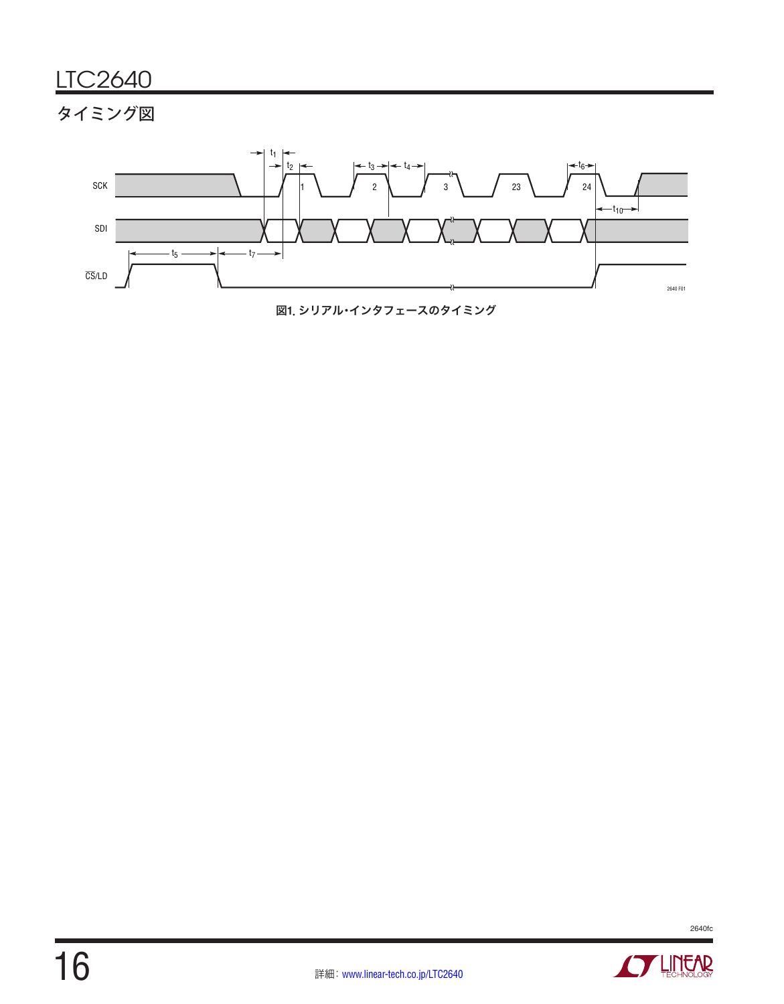# タイミング図

![](_page_15_Figure_2.jpeg)

![](_page_15_Figure_3.jpeg)

![](_page_15_Picture_4.jpeg)

![](_page_15_Picture_5.jpeg)

![](_page_15_Picture_7.jpeg)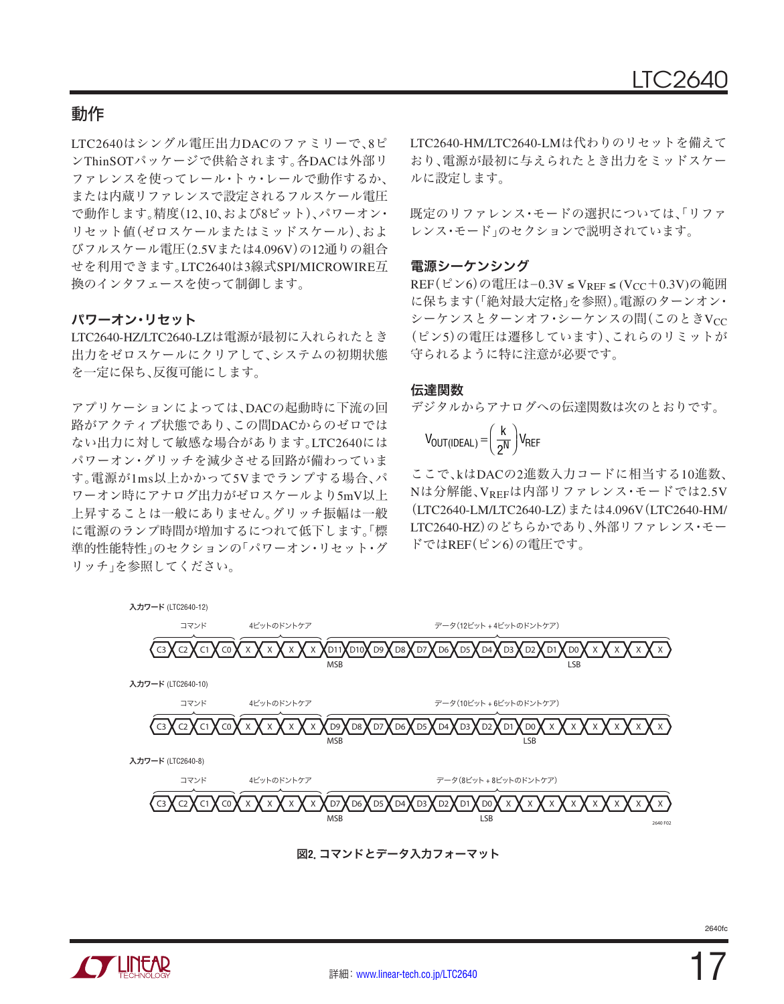LTC2640はシングル電圧出力DACのファミリーで、8ピ ンThinSOTパッケージで供給されます。各DACは外部リ ファレンスを使ってレール・トゥ・レールで動作するか、 または内蔵リファレンスで設定されるフルスケール電圧 で動作します。精度(12、10、および8ビット)、パワーオン・ リセット値(ゼロスケールまたはミッドスケール)、およ びフルスケール電圧(2.5Vまたは4.096V)の12通りの組合 せを利用できます。LTC2640は3線式SPI/MICROWIRE互 換のインタフェースを使って制御します。

#### パワーオン・リセット

LTC2640-HZ/LTC2640-LZは電源が最初に入れられたとき 出力をゼロスケールにクリアして、システムの初期状態 を一定に保ち、反復可能にします。

アプリケーションによっては、DACの起動時に下流の回 路がアクティブ状態であり、この間DACからのゼロでは ない出力に対して敏感な場合があります。LTC2640には パワーオン・グリッチを減少させる回路が備わっていま す。電源が1ms以上かかって5Vまでランプする場合、パ ワーオン時にアナログ出力がゼロスケールより5mV以上 上昇することは一般にありません。グリッチ振幅は一般 に電源のランプ時間が増加するにつれて低下します。「標 進的性能特性」のセクションの「パワーオン・リセット・グ リッチ」を参照してください。

LTC2640-HM/LTC2640-LMは代わりのリセットを備えて おり、電源が最初に与えられたとき出力をミッドスケー ルに設定します。

既定のリファレンス・モードの選択については、「リファ レンス・モード」のセクションで説明されています。

#### 電源シーケンシング

REF(ピン6)の電圧は−0.3V ≤ V<sub>REF</sub> ≤ (V<sub>CC</sub>+0.3V)の範囲 に保ちます(「絶対最大定格」を参照)。電源のターンオン・ シーケンスとターンオフ·シーケンスの間(このときVcc (ピン5)の電圧は遷移しています)、これらのリミットが 守られるように特に注意が必要です。

#### 伝達関数

デジタルからアナログへの伝達関数は次のとおりです。

$$
V_{OUT(IDEAL)} = \left(\frac{k}{2^N}\right) V_{REF}
$$

ここで、kはDACの2進数入力コードに相当する10進数、 Nは分解能、VREFは内部リファレンス・モードでは2.5V (LTC2640-LM/LTC2640-LZ)または4.096V(LTC2640-HM/ LTC2640-HZ)のどちらかであり、外部リファレンス・モー ドではREF(ピン6)の電圧です。

![](_page_16_Figure_14.jpeg)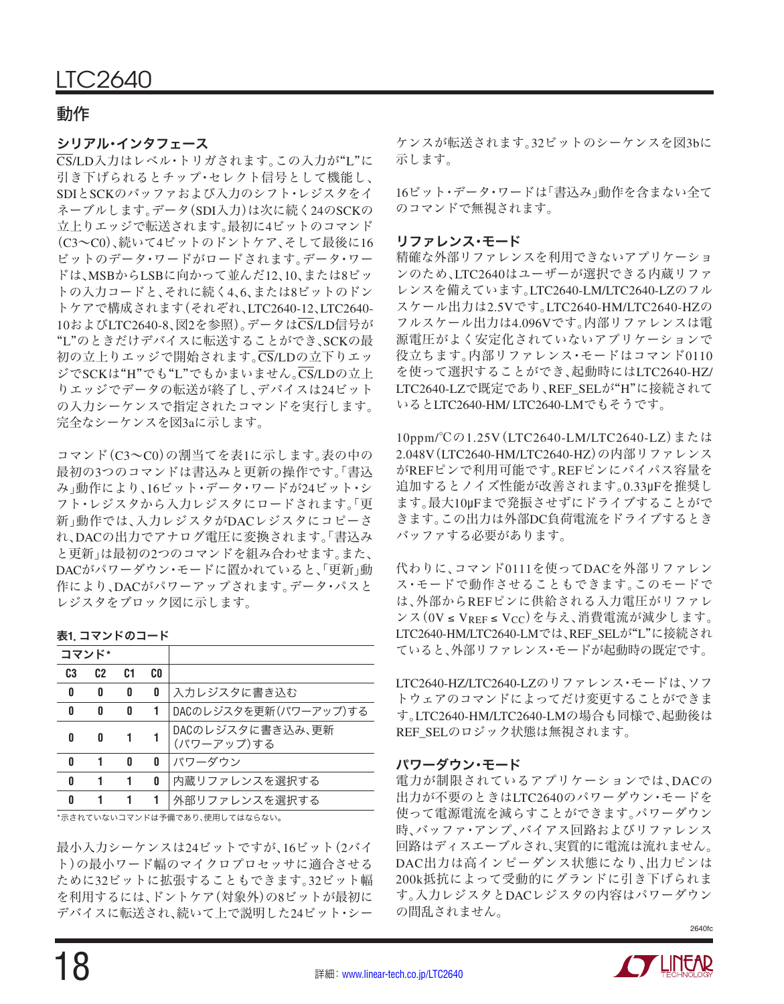#### シリアル・インタフェース

CS/LD入力はレベル・トリガされます。この入力が"L"に 引き下げられるとチップ・セレクト信号として機能し、 SDIとSCKのバッファおよび入力のシフト・レジスタをイ ネーブルします。データ(SDI入力)は次に続く24のSCKの 立上りエッジで転送されます。最初に4ビットのコマンド (C3~C0)、続いて4ビットのドントケア、そして最後に16 ビットのデータ・ワードがロードされます。データ・ワー ドは、MSBからLSBに向かって並んだ12、10、または8ビッ トの入力コードと、それに続く4、6、または8ビットのドン トケアで構成されます(それぞれ、LTC2640-12、LTC2640- 10およびLTC2640-8、図2を参照)。データはCS/LD信号が "L"のときだけデバイスに転送することができ、SCKの最 初の立上りエッジで開始されます。CS/LDの立下りエッ ジでSCKは"H"でも"L"でもかまいません。CS/LDの立上 りエッジでデータの転送が終了し、デバイスは24ビット の入力シーケンスで指定されたコマンドを実行します。 完全なシーケンスを図3aに示します。

コマンド(C3~C0)の割当てを表1に示します。表の中の 最初の3つのコマンドは書込みと更新の操作です。「書込 み」動作により、16ビット・データ・ワードが24ビット・シ フト・レジスタから入力レジスタにロードされます。「更 新」動作では、入力レジスタがDACレジスタにコピーさ れ、DACの出力でアナログ電圧に変換されます。「書込み と更新」は最初の2つのコマンドを組み合わせます。また、 DACがパワーダウン・モードに置かれていると、「更新」動 作により、DACがパワーアップされます。データ・パスと レジスタをブロック図に示します。

表**1**.コマンドのコード

| コマンド*          |                |    |     |                                |
|----------------|----------------|----|-----|--------------------------------|
| C <sub>3</sub> | C <sub>2</sub> | C1 | CO. |                                |
| 0              | 0              | 0  | 0   | 入力レジスタに書き込む                    |
| 0              | 0              | 0  |     | DACのレジスタを更新(パワーアップ)する          |
| 0              | 0              |    |     | DACのレジスタに書き込み、更新<br>(パワーアップ)する |
| n              | 1              | n  | 0   | パワーダウン                         |
| Λ              |                |    | 0   | 内蔵リファレンスを選択する                  |
| Π              |                |    |     | 外部リファレンスを選択する                  |

\*示されていないコマンドは予備であり、使用してはならない。

最小入力シーケンスは24ビットですが、16ビット(2バイ ト)の最小ワード幅のマイクロプロセッサに適合させる ために32ビットに拡張することもできます。32ビット幅 を利用するには、ドントケア(対象外)の8ビットが最初に デバイスに転送され、続いて上で説明した24ビット・シー

ケンスが転送されます。32ビットのシーケンスを図3bに 示します。

16ビット・データ・ワードは「書込み」動作を含まない全て のコマンドで無視されます。

#### リファレンス・モード

精確な外部リファレンスを利用できないアプリケーショ ンのため、LTC2640はユーザーが選択できる内蔵リファ レンスを備えています。LTC2640-LM/LTC2640-LZのフル スケール出力は2.5Vです。LTC2640-HM/LTC2640-HZの フルスケール出力は4.096Vです。内部リファレンスは電 源電圧がよく安定化されていないアプリケーションで 役立ちます。内部リファレンス・モードはコマンド0110 を使って選択することができ、起動時にはLTC2640-HZ/ LTC2640-LZで既定であり、REF\_SELが"H"に接続されて いるとLTC2640-HM/ LTC2640-LMでもそうです。

10ppm/℃の1.25V(LTC2640-LM/LTC2640-LZ)または 2.048V(LTC2640-HM/LTC2640-HZ)の内部リファレンス がREFピンで利用可能です。REFピンにバイパス容量を 追加するとノイズ性能が改善されます。0.33μFを推奨し ます。最大10μFまで発振させずにドライブすることがで きます。この出力は外部DC負荷電流をドライブするとき バッファする必要があります。

代わりに、コマンド0111を使ってDACを外部リファレン ス・モードで動作させることもできます。このモードで は、外部からREFピンに供給される入力電圧がリファレ ンス(0V ≤ VREF ≤ VCC)を与え、消費電流が減少します。 LTC2640-HM/LTC2640-LMでは、REF\_SELが"L"に接続され ていると、外部リファレンス・モードが起動時の既定です。

LTC2640-HZ/LTC2640-LZのリファレンス・モードは、ソフ トウェアのコマンドによってだけ変更することができま す。LTC2640-HM/LTC2640-LMの場合も同様で、起動後は REF\_SELのロジック状態は無視されます。

#### パワーダウン・モード

電力が制限されているアプリケーションでは、DACの 出力が不要のときはLTC2640のパワーダウン・モードを 使って電源電流を減らすことができます。パワーダウン 時、バッファ・アンプ、バイアス回路およびリファレンス 回路はディスエーブルされ、実質的に電流は流れません。 DAC出力は高インピーダンス状態になり、出力ピンは 200k抵抗によって受動的にグランドに引き下げられま す。入力レジスタとDACレジスタの内容はパワーダウン の間乱されません。

![](_page_17_Picture_21.jpeg)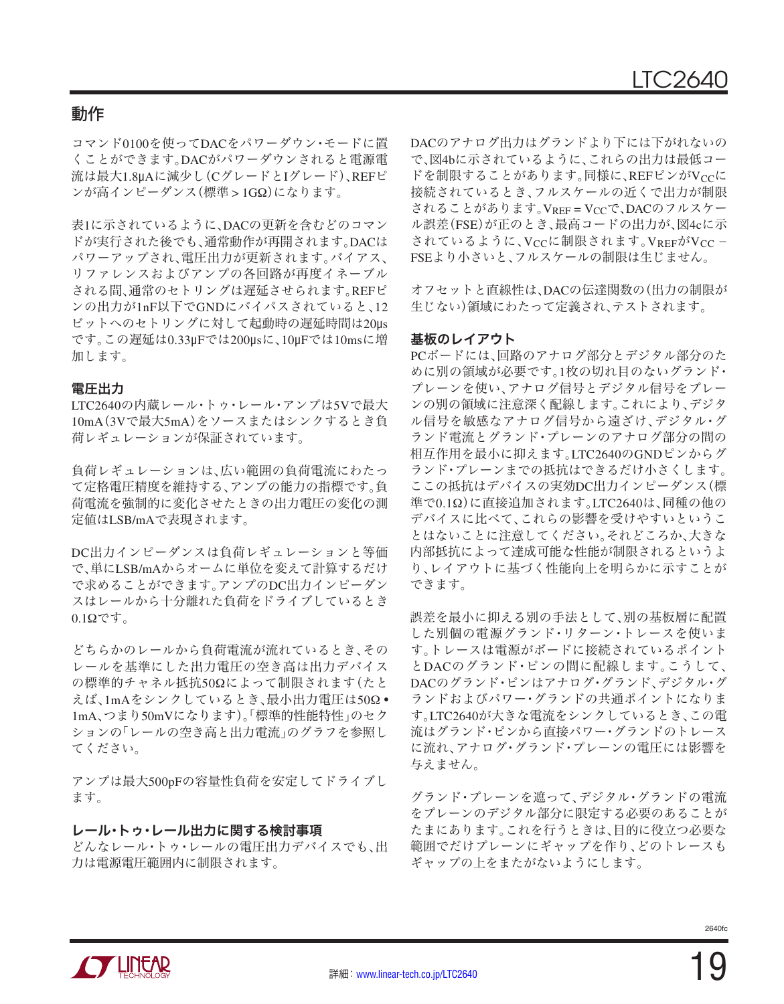コマンド0100を使ってDACをパワーダウン・モードに置 くことができます。DACがパワーダウンされると電源電 流は最大1.8μAに減少し(CグレードとIグレード)、REFピ ンが高インピーダンス(標準 > 1GΩ)になります。

表1に示されているように、DACの更新を含むどのコマン ドが実行された後でも、通常動作が再開されます。DACは パワーアップされ、電圧出力が更新されます。バイアス、 リファレンスおよびアンプの各回路が再度イネーブル される間、通常のセトリングは遅延させられます。REFピ ンの出力が1nF以下でGNDにバイパスされていると、12 ビットへのセトリングに対して起動時の遅延時間は20μs です。この遅延は0.33μFでは200μsに、10μFでは10msに増 加します。

#### 電圧出力

LTC2640の内蔵レール・トゥ・レール・アンプは5Vで最大 10mA(3Vで最大5mA)をソースまたはシンクするとき負 荷レギュレーションが保証されています。

負荷レギュレーションは、広い範囲の負荷電流にわたっ て定格電圧精度を維持する、アンプの能力の指標です。負 荷電流を強制的に変化させたときの出力電圧の変化の測 定値はLSB/mAで表現されます。

DC出力インピーダンスは負荷レギュレーションと等価 で、単にLSB/mAからオームに単位を変えて計算するだけ で求めることができます。アンプのDC出力インピーダン スはレールから十分離れた負荷をドライブしているとき  $0.1\Omega$ です。

どちらかのレールから負荷電流が流れているとき、その レールを基準にした出力電圧の空き高は出力デバイス の標準的チャネル抵抗50Ωによって制限されます(たと えば、1mAをシンクしているとき、最小出力電圧は50Ω • 1mA、つまり50mVになります)。「標準的性能特性」のセク ションの「レールの空き高と出力電流」のグラフを参照し てください。

アンプは最大500pFの容量性負荷を安定してドライブし ます。

#### レール・トゥ・レール出力に関する検討事項

どんなレール・トゥ・レールの電圧出力デバイスでも、出 力は電源電圧範囲内に制限されます。

DACのアナログ出力はグランドより下には下がれないの で、図4bに示されているように、これらの出力は最低コー ドを制限することがあります。同様に、REFピンがVccに 接続されているとき、フルスケールの近くで出力が制限 されることがあります。VREF = VCCで、DACのフルスケー ル誤差(FSE)が正のとき、最高コードの出力が、図4cに示 されているように、Vccに制限されます。VREFがVcc -FSEより小さいと、フルスケールの制限は生じません。

オフセットと直線性は、DACの伝達関数の(出力の制限が 生じない)領域にわたって定義され、テストされます。

#### 基板のレイアウト

PCボードには、回路のアナログ部分とデジタル部分のた めに別の領域が必要です。1枚の切れ目のないグランド・ プレーンを使い、アナログ信号とデジタル信号をプレー ンの別の領域に注意深く配線します。これにより、デジタ ル信号を敏感なアナログ信号から遠ざけ、デジタル・グ ランド電流とグランド・プレーンのアナログ部分の間の 相互作用を最小に抑えます。LTC2640のGNDピンからグ ランド・プレーンまでの抵抗はできるだけ小さくします。 ここの抵抗はデバイスの実効DC出力インピーダンス(標 準で0.1Ω)に直接追加されます。LTC2640は、同種の他の デバイスに比べて、これらの影響を受けやすいというこ とはないことに注意してください。それどころか、大きな 内部抵抗によって達成可能な性能が制限されるというよ り、レイアウトに基づく性能向上を明らかに示すことが できます。

誤差を最小に抑える別の手法として、別の基板層に配置 した別個の電源グランド・リターン・トレースを使いま す。トレースは電源がボードに接続されているポイント とDACのグランド・ピンの間に配線します。こうして、 DACのグランド・ピンはアナログ・グランド、デジタル・グ ランドおよびパワー・グランドの共通ポイントになりま す。LTC2640が大きな電流をシンクしているとき、この電 流はグランド・ピンから直接パワー・グランドのトレース に流れ、アナログ・グランド・プレーンの電圧には影響を 与えません。

グランド・プレーンを遮って、デジタル・グランドの電流 をプレーンのデジタル部分に限定する必要のあることが たまにあります。これを行うときは、目的に役立つ必要な 範囲でだけプレーンにギャップを作り、どのトレースも ギャップの上をまたがないようにします。

![](_page_18_Picture_19.jpeg)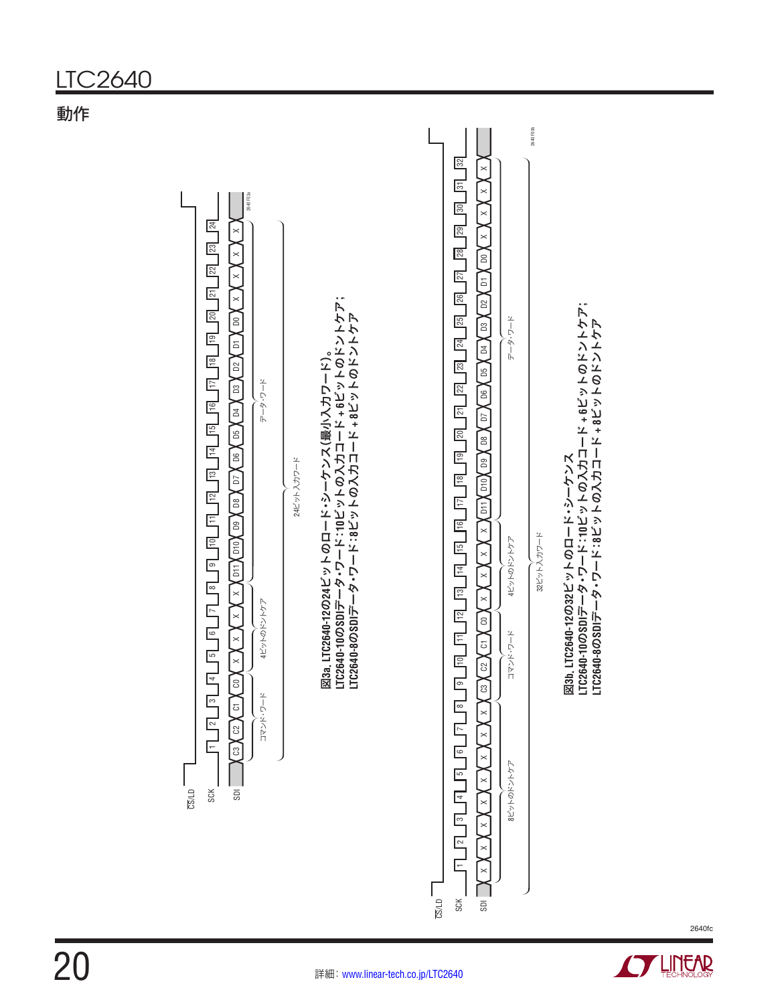![](_page_19_Figure_1.jpeg)

![](_page_19_Picture_2.jpeg)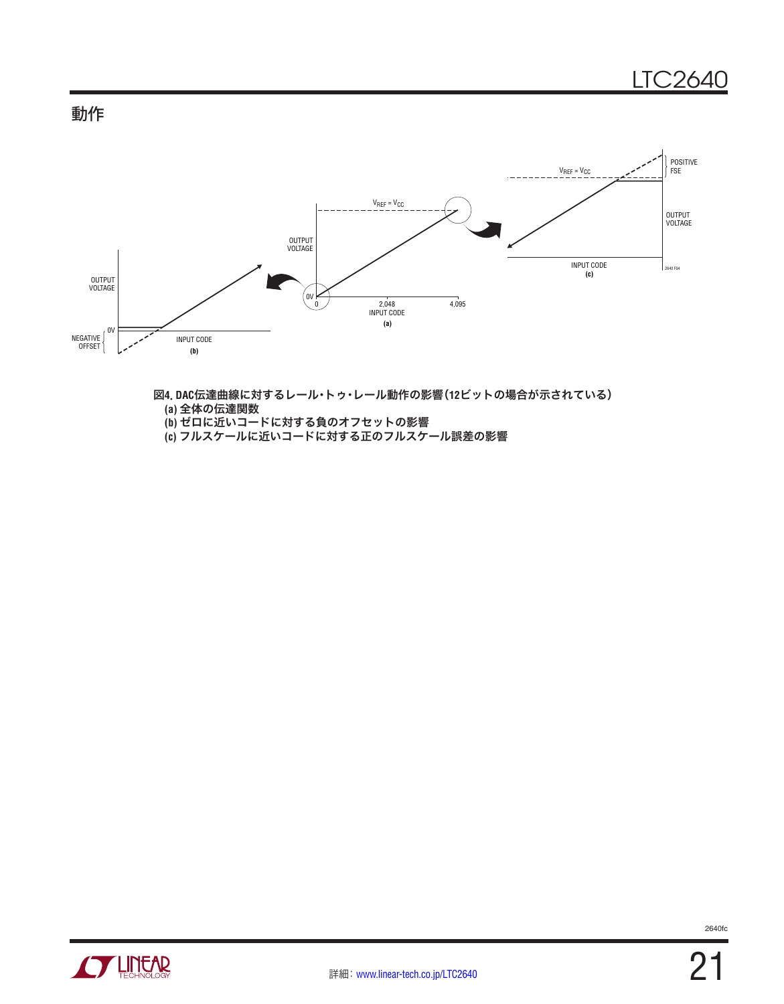![](_page_20_Figure_1.jpeg)

![](_page_20_Figure_2.jpeg)

図**4**.**DAC**伝達曲線に対するレール・トゥ・レール動作の影響(**12**ビットの場合が示されている) **(a)** 全体の伝達関数 **(b)** ゼロに近いコードに対する負のオフセットの影響

**(c)** フルスケールに近いコードに対する正のフルスケール誤差の影響

![](_page_20_Picture_5.jpeg)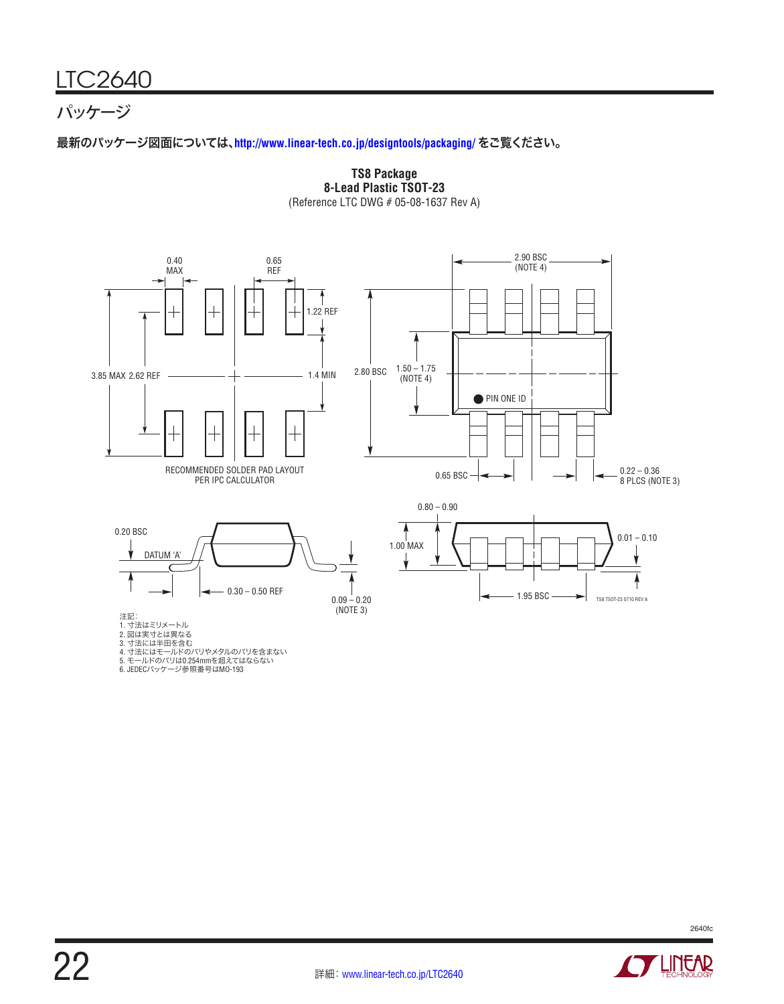# パッケージ

最新のパッケージ図面については、**<http://www.linear-tech.co.jp/designtools/packaging/>** をご覧ください。

![](_page_21_Figure_3.jpeg)

**TS8 Package 8-Lead Plastic TSOT-23** (Reference LTC DWG # 05-08-1637 Rev A)

6. JEDECパッケージ参照番号はMO-193

![](_page_21_Picture_6.jpeg)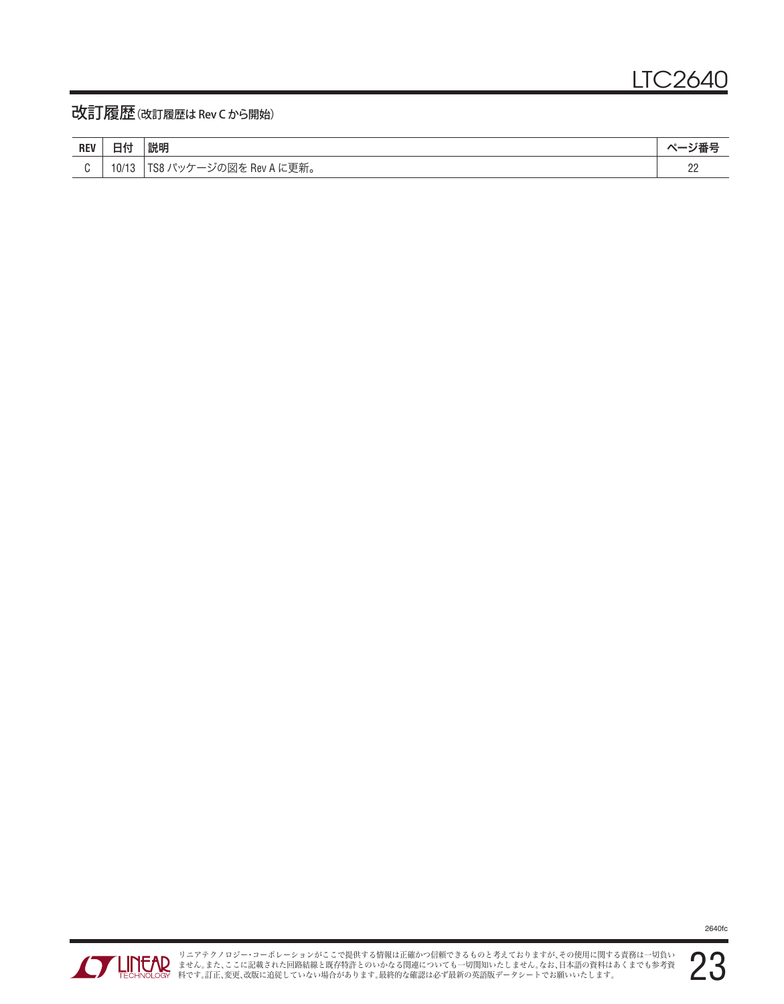## 改訂履歴(改訂履歴は Rev C から開始)

| <b>DEV</b><br>ncv | --    | 説明                                                                         | 耳っ               |
|-------------------|-------|----------------------------------------------------------------------------|------------------|
|                   | 10/17 | <sup>た</sup> Rev A に更新。<br>⊤00<br>゙の図を<br>$\sim$ $\frac{1}{2}$<br>∼<br>$-$ | $\cap$<br>$\sim$ |

![](_page_22_Picture_4.jpeg)